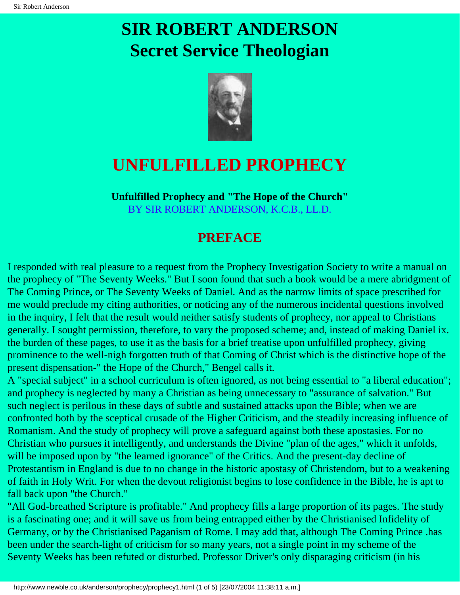# **SIR ROBERT ANDERSON Secret Service Theologian**



## **UNFULFILLED PROPHECY**

**Unfulfilled Prophecy and "The Hope of the Church"** BY SIR ROBERT ANDERSON, K.C.B., LL.D.

### **PREFACE**

I responded with real pleasure to a request from the Prophecy Investigation Society to write a manual on the prophecy of "The Seventy Weeks." But I soon found that such a book would be a mere abridgment of The Coming Prince, or The Seventy Weeks of Daniel. And as the narrow limits of space prescribed for me would preclude my citing authorities, or noticing any of the numerous incidental questions involved in the inquiry, I felt that the result would neither satisfy students of prophecy, nor appeal to Christians generally. I sought permission, therefore, to vary the proposed scheme; and, instead of making Daniel ix. the burden of these pages, to use it as the basis for a brief treatise upon unfulfilled prophecy, giving prominence to the well-nigh forgotten truth of that Coming of Christ which is the distinctive hope of the present dispensation-" the Hope of the Church," Bengel calls it.

A "special subject" in a school curriculum is often ignored, as not being essential to "a liberal education"; and prophecy is neglected by many a Christian as being unnecessary to "assurance of salvation." But such neglect is perilous in these days of subtle and sustained attacks upon the Bible; when we are confronted both by the sceptical crusade of the Higher Criticism, and the steadily increasing influence of Romanism. And the study of prophecy will prove a safeguard against both these apostasies. For no Christian who pursues it intelligently, and understands the Divine "plan of the ages," which it unfolds, will be imposed upon by "the learned ignorance" of the Critics. And the present-day decline of Protestantism in England is due to no change in the historic apostasy of Christendom, but to a weakening of faith in Holy Writ. For when the devout religionist begins to lose confidence in the Bible, he is apt to fall back upon "the Church."

"All God-breathed Scripture is profitable." And prophecy fills a large proportion of its pages. The study is a fascinating one; and it will save us from being entrapped either by the Christianised Infidelity of Germany, or by the Christianised Paganism of Rome. I may add that, although The Coming Prince .has been under the search-light of criticism for so many years, not a single point in my scheme of the Seventy Weeks has been refuted or disturbed. Professor Driver's only disparaging criticism (in his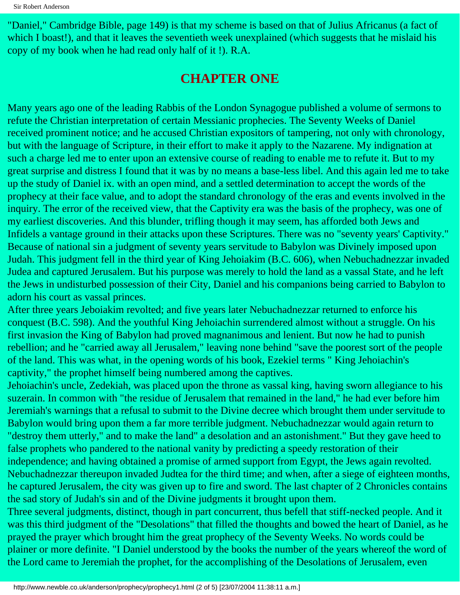"Daniel," Cambridge Bible, page 149) is that my scheme is based on that of Julius Africanus (a fact of which I boast!), and that it leaves the seventieth week unexplained (which suggests that he mislaid his copy of my book when he had read only half of it !). R.A.

### **CHAPTER ONE**

Many years ago one of the leading Rabbis of the London Synagogue published a volume of sermons to refute the Christian interpretation of certain Messianic prophecies. The Seventy Weeks of Daniel received prominent notice; and he accused Christian expositors of tampering, not only with chronology, but with the language of Scripture, in their effort to make it apply to the Nazarene. My indignation at such a charge led me to enter upon an extensive course of reading to enable me to refute it. But to my great surprise and distress I found that it was by no means a base-less libel. And this again led me to take up the study of Daniel ix. with an open mind, and a settled determination to accept the words of the prophecy at their face value, and to adopt the standard chronology of the eras and events involved in the inquiry. The error of the received view, that the Captivity era was the basis of the prophecy, was one of my earliest discoveries. And this blunder, trifling though it may seem, has afforded both Jews and Infidels a vantage ground in their attacks upon these Scriptures. There was no "seventy years' Captivity." Because of national sin a judgment of seventy years servitude to Babylon was Divinely imposed upon Judah. This judgment fell in the third year of King Jehoiakim (B.C. 606), when Nebuchadnezzar invaded Judea and captured Jerusalem. But his purpose was merely to hold the land as a vassal State, and he left the Jews in undisturbed possession of their City, Daniel and his companions being carried to Babylon to adorn his court as vassal princes.

After three years Jeboiakim revolted; and five years later Nebuchadnezzar returned to enforce his conquest (B.C. 598). And the youthful King Jehoiachin surrendered almost without a struggle. On his first invasion the King of Babylon had proved magnanimous and lenient. But now he had to punish rebellion; and he "carried away all Jerusalem," leaving none behind "save the poorest sort of the people of the land. This was what, in the opening words of his book, Ezekiel terms " King Jehoiachin's captivity," the prophet himself being numbered among the captives.

Jehoiachin's uncle, Zedekiah, was placed upon the throne as vassal king, having sworn allegiance to his suzerain. In common with "the residue of Jerusalem that remained in the land," he had ever before him Jeremiah's warnings that a refusal to submit to the Divine decree which brought them under servitude to Babylon would bring upon them a far more terrible judgment. Nebuchadnezzar would again return to "destroy them utterly," and to make the land" a desolation and an astonishment." But they gave heed to false prophets who pandered to the national vanity by predicting a speedy restoration of their independence; and having obtained a promise of armed support from Egypt, the Jews again revolted. Nebuchadnezzar thereupon invaded Judtea for the third time; and when, after a siege of eighteen months, he captured Jerusalem, the city was given up to fire and sword. The last chapter of 2 Chronicles contains the sad story of Judah's sin and of the Divine judgments it brought upon them.

Three several judgments, distinct, though in part concurrent, thus befell that stiff-necked people. And it was this third judgment of the "Desolations" that filled the thoughts and bowed the heart of Daniel, as he prayed the prayer which brought him the great prophecy of the Seventy Weeks. No words could be plainer or more definite. "I Daniel understood by the books the number of the years whereof the word of the Lord came to Jeremiah the prophet, for the accomplishing of the Desolations of Jerusalem, even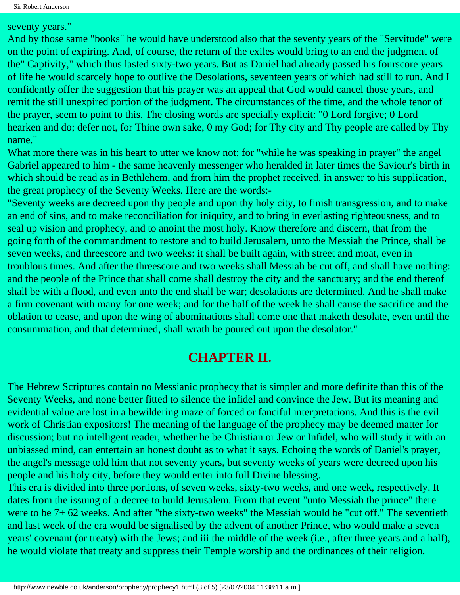seventy years."

And by those same "books" he would have understood also that the seventy years of the "Servitude" were on the point of expiring. And, of course, the return of the exiles would bring to an end the judgment of the" Captivity," which thus lasted sixty-two years. But as Daniel had already passed his fourscore years of life he would scarcely hope to outlive the Desolations, seventeen years of which had still to run. And I confidently offer the suggestion that his prayer was an appeal that God would cancel those years, and remit the still unexpired portion of the judgment. The circumstances of the time, and the whole tenor of the prayer, seem to point to this. The closing words are specially explicit: "0 Lord forgive; 0 Lord hearken and do; defer not, for Thine own sake, 0 my God; for Thy city and Thy people are called by Thy name."

What more there was in his heart to utter we know not; for "while he was speaking in prayer" the angel Gabriel appeared to him - the same heavenly messenger who heralded in later times the Saviour's birth in which should be read as in Bethlehem, and from him the prophet received, in answer to his supplication, the great prophecy of the Seventy Weeks. Here are the words:-

"Seventy weeks are decreed upon thy people and upon thy holy city, to finish transgression, and to make an end of sins, and to make reconciliation for iniquity, and to bring in everlasting righteousness, and to seal up vision and prophecy, and to anoint the most holy. Know therefore and discern, that from the going forth of the commandment to restore and to build Jerusalem, unto the Messiah the Prince, shall be seven weeks, and threescore and two weeks: it shall be built again, with street and moat, even in troublous times. And after the threescore and two weeks shall Messiah be cut off, and shall have nothing: and the people of the Prince that shall come shall destroy the city and the sanctuary; and the end thereof shall be with a flood, and even unto the end shall be war; desolations are determined. And he shall make a firm covenant with many for one week; and for the half of the week he shall cause the sacrifice and the oblation to cease, and upon the wing of abominations shall come one that maketh desolate, even until the consummation, and that determined, shall wrath be poured out upon the desolator."

#### **CHAPTER II.**

The Hebrew Scriptures contain no Messianic prophecy that is simpler and more definite than this of the Seventy Weeks, and none better fitted to silence the infidel and convince the Jew. But its meaning and evidential value are lost in a bewildering maze of forced or fanciful interpretations. And this is the evil work of Christian expositors! The meaning of the language of the prophecy may be deemed matter for discussion; but no intelligent reader, whether he be Christian or Jew or Infidel, who will study it with an unbiassed mind, can entertain an honest doubt as to what it says. Echoing the words of Daniel's prayer, the angel's message told him that not seventy years, but seventy weeks of years were decreed upon his people and his holy city, before they would enter into full Divine blessing.

This era is divided into three portions, of seven weeks, sixty-two weeks, and one week, respectively. It dates from the issuing of a decree to build Jerusalem. From that event "unto Messiah the prince" there were to be 7+ 62 weeks. And after "the sixty-two weeks" the Messiah would be "cut off." The seventieth and last week of the era would be signalised by the advent of another Prince, who would make a seven years' covenant (or treaty) with the Jews; and iii the middle of the week (i.e., after three years and a half), he would violate that treaty and suppress their Temple worship and the ordinances of their religion.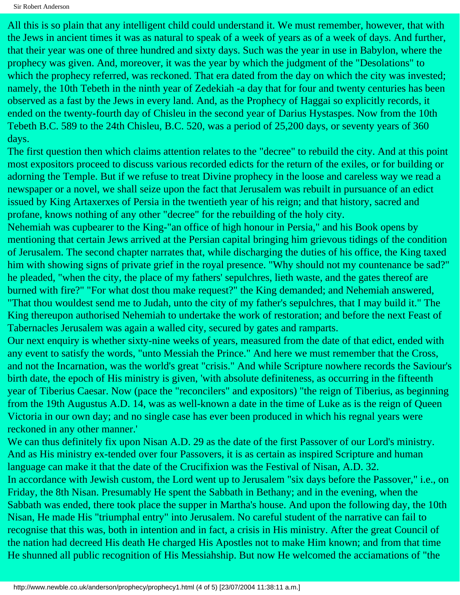Sir Robert Anderson

All this is so plain that any intelligent child could understand it. We must remember, however, that with the Jews in ancient times it was as natural to speak of a week of years as of a week of days. And further, that their year was one of three hundred and sixty days. Such was the year in use in Babylon, where the prophecy was given. And, moreover, it was the year by which the judgment of the "Desolations" to which the prophecy referred, was reckoned. That era dated from the day on which the city was invested; namely, the 10th Tebeth in the ninth year of Zedekiah -a day that for four and twenty centuries has been observed as a fast by the Jews in every land. And, as the Prophecy of Haggai so explicitly records, it ended on the twenty-fourth day of Chisleu in the second year of Darius Hystaspes. Now from the 10th Tebeth B.C. 589 to the 24th Chisleu, B.C. 520, was a period of 25,200 days, or seventy years of 360 days.

The first question then which claims attention relates to the "decree" to rebuild the city. And at this point most expositors proceed to discuss various recorded edicts for the return of the exiles, or for building or adorning the Temple. But if we refuse to treat Divine prophecy in the loose and careless way we read a newspaper or a novel, we shall seize upon the fact that Jerusalem was rebuilt in pursuance of an edict issued by King Artaxerxes of Persia in the twentieth year of his reign; and that history, sacred and profane, knows nothing of any other "decree" for the rebuilding of the holy city.

Nehemiah was cupbearer to the King-"an office of high honour in Persia," and his Book opens by mentioning that certain Jews arrived at the Persian capital bringing him grievous tidings of the condition of Jerusalem. The second chapter narrates that, while discharging the duties of his office, the King taxed him with showing signs of private grief in the royal presence. "Why should not my countenance be sad?" he pleaded, "when the city, the place of my fathers' sepulchres, lieth waste, and the gates thereof are burned with fire?" "For what dost thou make request?" the King demanded; and Nehemiah answered, "That thou wouldest send me to Judah, unto the city of my father's sepulchres, that I may build it." The King thereupon authorised Nehemiah to undertake the work of restoration; and before the next Feast of Tabernacles Jerusalem was again a walled city, secured by gates and ramparts.

Our next enquiry is whether sixty-nine weeks of years, measured from the date of that edict, ended with any event to satisfy the words, "unto Messiah the Prince." And here we must remember that the Cross, and not the Incarnation, was the world's great "crisis." And while Scripture nowhere records the Saviour's birth date, the epoch of His ministry is given, 'with absolute definiteness, as occurring in the fifteenth year of Tiberius Caesar. Now (pace the "reconcilers" and expositors) "the reign of Tiberius, as beginning from the 19th Augustus A.D. 14, was as well-known a date in the time of Luke as is the reign of Queen Victoria in our own day; and no single case has ever been produced in which his regnal years were reckoned in any other manner.'

We can thus definitely fix upon Nisan A.D. 29 as the date of the first Passover of our Lord's ministry. And as His ministry ex-tended over four Passovers, it is as certain as inspired Scripture and human language can make it that the date of the Crucifixion was the Festival of Nisan, A.D. 32. In accordance with Jewish custom, the Lord went up to Jerusalem "six days before the Passover," i.e., on Friday, the 8th Nisan. Presumably He spent the Sabbath in Bethany; and in the evening, when the Sabbath was ended, there took place the supper in Martha's house. And upon the following day, the 10th Nisan, He made His "triumphal entry" into Jerusalem. No careful student of the narrative can fail to recognise that this was, both in intention and in fact, a crisis in His ministry. After the great Council of the nation had decreed His death He charged His Apostles not to make Him known; and from that time He shunned all public recognition of His Messiahship. But now He welcomed the acciamations of "the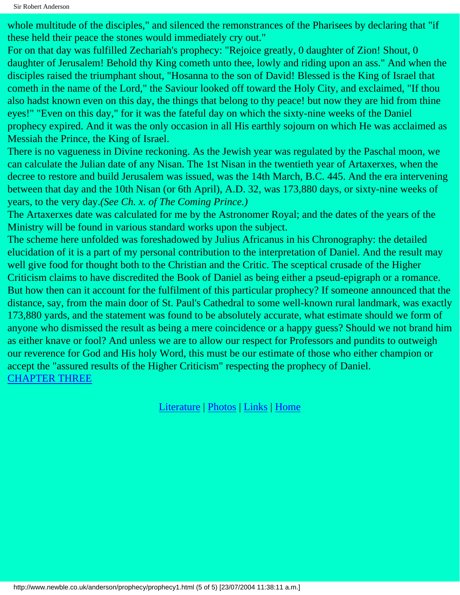whole multitude of the disciples," and silenced the remonstrances of the Pharisees by declaring that "if these held their peace the stones would immediately cry out."

For on that day was fulfilled Zechariah's prophecy: "Rejoice greatly, 0 daughter of Zion! Shout, 0 daughter of Jerusalem! Behold thy King cometh unto thee, lowly and riding upon an ass." And when the disciples raised the triumphant shout, "Hosanna to the son of David! Blessed is the King of Israel that cometh in the name of the Lord," the Saviour looked off toward the Holy City, and exclaimed, "If thou also hadst known even on this day, the things that belong to thy peace! but now they are hid from thine eyes!" "Even on this day," for it was the fateful day on which the sixty-nine weeks of the Daniel prophecy expired. And it was the only occasion in all His earthly sojourn on which He was acclaimed as Messiah the Prince, the King of Israel.

There is no vagueness in Divine reckoning. As the Jewish year was regulated by the Paschal moon, we can calculate the Julian date of any Nisan. The 1st Nisan in the twentieth year of Artaxerxes, when the decree to restore and build Jerusalem was issued, was the 14th March, B.C. 445. And the era intervening between that day and the 10th Nisan (or 6th April), A.D. 32, was 173,880 days, or sixty-nine weeks of years, to the very day.*(See Ch. x. of The Coming Prince.)*

The Artaxerxes date was calculated for me by the Astronomer Royal; and the dates of the years of the Ministry will be found in various standard works upon the subject.

The scheme here unfolded was foreshadowed by Julius Africanus in his Chronography: the detailed elucidation of it is a part of my personal contribution to the interpretation of Daniel. And the result may well give food for thought both to the Christian and the Critic. The sceptical crusade of the Higher Criticism claims to have discredited the Book of Daniel as being either a pseud-epigraph or a romance. But how then can it account for the fulfilment of this particular prophecy? If someone announced that the distance, say, from the main door of St. Paul's Cathedral to some well-known rural landmark, was exactly 173,880 yards, and the statement was found to be absolutely accurate, what estimate should we form of anyone who dismissed the result as being a mere coincidence or a happy guess? Should we not brand him as either knave or fool? And unless we are to allow our respect for Professors and pundits to outweigh our reverence for God and His holy Word, this must be our estimate of those who either champion or accept the "assured results of the Higher Criticism" respecting the prophecy of Daniel. [CHAPTER THREE](#page-5-0)

[Literature](http://www.newble.co.uk/anderson/literature.html) | [Photos](http://www.newble.co.uk/anderson/photos.html) | [Links](http://www.newble.co.uk/anderson/links.html) | [Home](http://www.newble.co.uk/anderson/)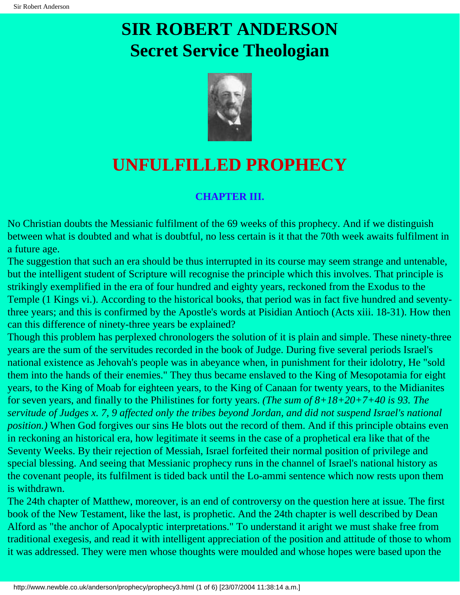# <span id="page-5-0"></span>**SIR ROBERT ANDERSON Secret Service Theologian**



## **UNFULFILLED PROPHECY**

#### **CHAPTER III.**

No Christian doubts the Messianic fulfilment of the 69 weeks of this prophecy. And if we distinguish between what is doubted and what is doubtful, no less certain is it that the 70th week awaits fulfilment in a future age.

The suggestion that such an era should be thus interrupted in its course may seem strange and untenable, but the intelligent student of Scripture will recognise the principle which this involves. That principle is strikingly exemplified in the era of four hundred and eighty years, reckoned from the Exodus to the Temple (1 Kings vi.). According to the historical books, that period was in fact five hundred and seventythree years; and this is confirmed by the Apostle's words at Pisidian Antioch (Acts xiii. 18-31). How then can this difference of ninety-three years be explained?

Though this problem has perplexed chronologers the solution of it is plain and simple. These ninety-three years are the sum of the servitudes recorded in the book of Judge. During five several periods Israel's national existence as Jehovah's people was in abeyance when, in punishment for their idolotry, He "sold them into the hands of their enemies." They thus became enslaved to the King of Mesopotamia for eight years, to the King of Moab for eighteen years, to the King of Canaan for twenty years, to the Midianites for seven years, and finally to the Philistines for forty years. *(The sum of 8+18+20+7+40 is 93. The servitude of Judges x. 7, 9 affected only the tribes beyond Jordan, and did not suspend Israel's national position.)* When God forgives our sins He blots out the record of them. And if this principle obtains even in reckoning an historical era, how legitimate it seems in the case of a prophetical era like that of the Seventy Weeks. By their rejection of Messiah, Israel forfeited their normal position of privilege and special blessing. And seeing that Messianic prophecy runs in the channel of Israel's national history as the covenant people, its fulfilment is tided back until the Lo-ammi sentence which now rests upon them is withdrawn.

The 24th chapter of Matthew, moreover, is an end of controversy on the question here at issue. The first book of the New Testament, like the last, is prophetic. And the 24th chapter is well described by Dean Alford as "the anchor of Apocalyptic interpretations." To understand it aright we must shake free from traditional exegesis, and read it with intelligent appreciation of the position and attitude of those to whom it was addressed. They were men whose thoughts were moulded and whose hopes were based upon the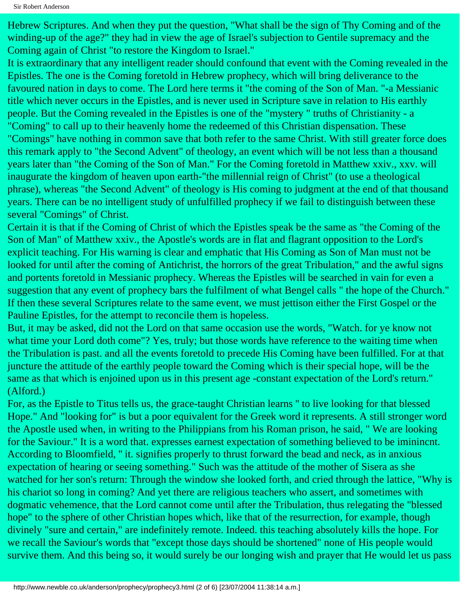Hebrew Scriptures. And when they put the question, "What shall be the sign of Thy Coming and of the winding-up of the age?" they had in view the age of Israel's subjection to Gentile supremacy and the Coming again of Christ "to restore the Kingdom to Israel."

It is extraordinary that any intelligent reader should confound that event with the Coming revealed in the Epistles. The one is the Coming foretold in Hebrew prophecy, which will bring deliverance to the favoured nation in days to come. The Lord here terms it "the coming of the Son of Man. "-a Messianic title which never occurs in the Epistles, and is never used in Scripture save in relation to His earthly people. But the Coming revealed in the Epistles is one of the "mystery " truths of Christianity - a "Coming" to call up to their heavenly home the redeemed of this Christian dispensation. These "Comings" have nothing in common save that both refer to the same Christ. With still greater force does this remark apply to "the Second Advent" of theology, an event which will be not less than a thousand years later than "the Coming of the Son of Man." For the Coming foretold in Matthew xxiv., xxv. will inaugurate the kingdom of heaven upon earth-"the millennial reign of Christ" (to use a theological phrase), whereas "the Second Advent" of theology is His coming to judgment at the end of that thousand years. There can be no intelligent study of unfulfilled prophecy if we fail to distinguish between these several "Comings" of Christ.

Certain it is that if the Coming of Christ of which the Epistles speak be the same as "the Coming of the Son of Man" of Matthew xxiv., the Apostle's words are in flat and flagrant opposition to the Lord's explicit teaching. For His warning is clear and emphatic that His Coming as Son of Man must not be looked for until after the coming of Antichrist, the horrors of the great Tribulation," and the awful signs and portents foretold in Messianic prophecy. Whereas the Epistles will be searched in vain for even a suggestion that any event of prophecy bars the fulfilment of what Bengel calls " the hope of the Church." If then these several Scriptures relate to the same event, we must jettison either the First Gospel or the Pauline Epistles, for the attempt to reconcile them is hopeless.

But, it may be asked, did not the Lord on that same occasion use the words, "Watch. for ye know not what time your Lord doth come"? Yes, truly; but those words have reference to the waiting time when the Tribulation is past. and all the events foretold to precede His Coming have been fulfilled. For at that juncture the attitude of the earthly people toward the Coming which is their special hope, will be the same as that which is enjoined upon us in this present age -constant expectation of the Lord's return." (Alford.)

For, as the Epistle to Titus tells us, the grace-taught Christian learns '' to live looking for that blessed Hope." And "looking for" is but a poor equivalent for the Greek word it represents. A still stronger word the Apostle used when, in writing to the Philippians from his Roman prison, he said, " We are looking for the Saviour." It is a word that. expresses earnest expectation of something believed to be iminincnt. According to Bloomfield, '' it. signifies properly to thrust forward the bead and neck, as in anxious expectation of hearing or seeing something." Such was the attitude of the mother of Sisera as she watched for her son's return: Through the window she looked forth, and cried through the lattice, "Why is his chariot so long in coming? And yet there are religious teachers who assert, and sometimes with dogmatic vehemence, that the Lord cannot come until after the Tribulation, thus relegating the "blessed hope" to the sphere of other Christian hopes which, like that of the resurrection, for example, though divinely "sure and certain," are indefinitely remote. Indeed. this teaching absolutely kills the hope. For we recall the Saviour's words that "except those days should be shortened" none of His people would survive them. And this being so, it would surely be our longing wish and prayer that He would let us pass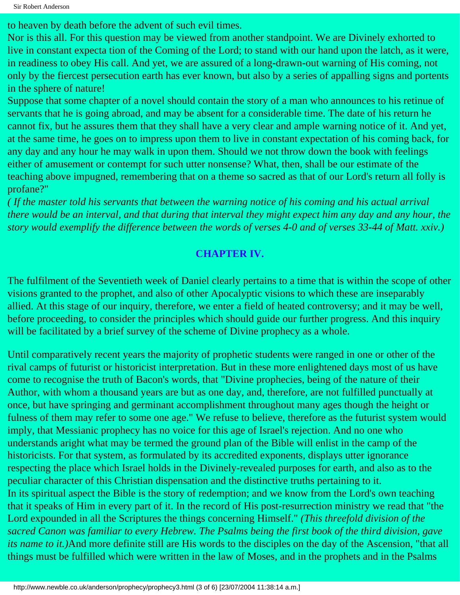to heaven by death before the advent of such evil times.

Nor is this all. For this question may be viewed from another standpoint. We are Divinely exhorted to live in constant expecta tion of the Coming of the Lord; to stand with our hand upon the latch, as it were, in readiness to obey His call. And yet, we are assured of a long-drawn-out warning of His coming, not only by the fiercest persecution earth has ever known, but also by a series of appalling signs and portents in the sphere of nature!

Suppose that some chapter of a novel should contain the story of a man who announces to his retinue of servants that he is going abroad, and may be absent for a considerable time. The date of his return he cannot fix, but he assures them that they shall have a very clear and ample warning notice of it. And yet, at the same time, he goes on to impress upon them to live in constant expectation of his coming back, for any day and any hour he may walk in upon them. Should we not throw down the book with feelings either of amusement or contempt for such utter nonsense? What, then, shall be our estimate of the teaching above impugned, remembering that on a theme so sacred as that of our Lord's return all folly is profane?"

*( If the master told his servants that between the warning notice of his coming and his actual arrival there would be an interval, and that during that interval they might expect him any day and any hour, the story would exemplify the difference between the words of verses 4-0 and of verses 33-44 of Matt. xxiv.)*

#### **CHAPTER IV.**

The fulfilment of the Seventieth week of Daniel clearly pertains to a time that is within the scope of other visions granted to the prophet, and also of other Apocalyptic visions to which these are inseparably allied. At this stage of our inquiry, therefore, we enter a field of heated controversy; and it may be well, before proceeding, to consider the principles which should guide our further progress. And this inquiry will be facilitated by a brief survey of the scheme of Divine prophecy as a whole.

Until comparatively recent years the majority of prophetic students were ranged in one or other of the rival camps of futurist or historicist interpretation. But in these more enlightened days most of us have come to recognise the truth of Bacon's words, that "Divine prophecies, being of the nature of their Author, with whom a thousand years are but as one day, and, therefore, are not fulfilled punctually at once, but have springing and germinant accomplishment throughout many ages though the height or fulness of them may refer to some one age." We refuse to believe, therefore as the futurist system would imply, that Messianic prophecy has no voice for this age of Israel's rejection. And no one who understands aright what may be termed the ground plan of the Bible will enlist in the camp of the historicists. For that system, as formulated by its accredited exponents, displays utter ignorance respecting the place which Israel holds in the Divinely-revealed purposes for earth, and also as to the peculiar character of this Christian dispensation and the distinctive truths pertaining to it. In its spiritual aspect the Bible is the story of redemption; and we know from the Lord's own teaching that it speaks of Him in every part of it. In the record of His post-resurrection ministry we read that "the Lord expounded in all the Scriptures the things concerning Himself." *(This threefold division of the sacred Canon was familiar to every Hebrew. The Psalms being the first book of the third division, gave its name to it.)*And more definite still are His words to the disciples on the day of the Ascension, "that all things must be fulfilled which were written in the law of Moses, and in the prophets and in the Psalms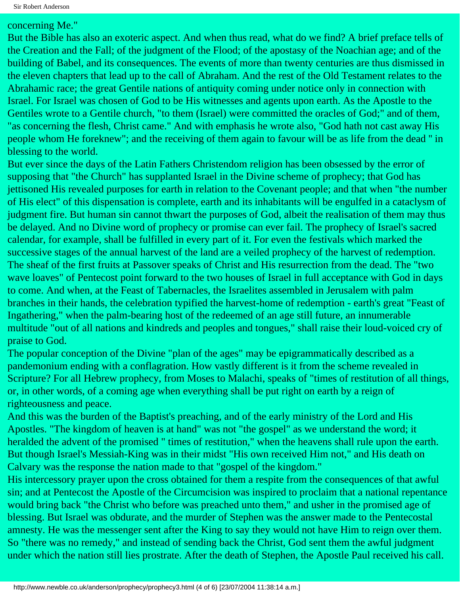#### concerning Me."

But the Bible has also an exoteric aspect. And when thus read, what do we find? A brief preface tells of the Creation and the Fall; of the judgment of the Flood; of the apostasy of the Noachian age; and of the building of Babel, and its consequences. The events of more than twenty centuries are thus dismissed in the eleven chapters that lead up to the call of Abraham. And the rest of the Old Testament relates to the Abrahamic race; the great Gentile nations of antiquity coming under notice only in connection with Israel. For Israel was chosen of God to be His witnesses and agents upon earth. As the Apostle to the Gentiles wrote to a Gentile church, "to them (Israel) were committed the oracles of God;" and of them, "as concerning the flesh, Christ came." And with emphasis he wrote also, "God hath not cast away His people whom He foreknew"; and the receiving of them again to favour will be as life from the dead '' in blessing to the world.

But ever since the days of the Latin Fathers Christendom religion has been obsessed by the error of supposing that "the Church" has supplanted Israel in the Divine scheme of prophecy; that God has jettisoned His revealed purposes for earth in relation to the Covenant people; and that when "the number of His elect" of this dispensation is complete, earth and its inhabitants will be engulfed in a cataclysm of judgment fire. But human sin cannot thwart the purposes of God, albeit the realisation of them may thus be delayed. And no Divine word of prophecy or promise can ever fail. The prophecy of Israel's sacred calendar, for example, shall be fulfilled in every part of it. For even the festivals which marked the successive stages of the annual harvest of the land are a veiled prophecy of the harvest of redemption. The sheaf of the first fruits at Passover speaks of Christ and His resurrection from the dead. The "two wave loaves" of Pentecost point forward to the two houses of Israel in full acceptance with God in days to come. And when, at the Feast of Tabernacles, the Israelites assembled in Jerusalem with palm branches in their hands, the celebration typified the harvest-home of redemption - earth's great "Feast of Ingathering," when the palm-bearing host of the redeemed of an age still future, an innumerable multitude "out of all nations and kindreds and peoples and tongues," shall raise their loud-voiced cry of praise to God.

The popular conception of the Divine "plan of the ages" may be epigrammatically described as a pandemonium ending with a conflagration. How vastly different is it from the scheme revealed in Scripture? For all Hebrew prophecy, from Moses to Malachi, speaks of "times of restitution of all things, or, in other words, of a coming age when everything shall be put right on earth by a reign of righteousness and peace.

And this was the burden of the Baptist's preaching, and of the early ministry of the Lord and His Apostles. "The kingdom of heaven is at hand" was not "the gospel" as we understand the word; it heralded the advent of the promised " times of restitution," when the heavens shall rule upon the earth. But though Israel's Messiah-King was in their midst "His own received Him not," and His death on Calvary was the response the nation made to that "gospel of the kingdom."

His intercessory prayer upon the cross obtained for them a respite from the consequences of that awful sin; and at Pentecost the Apostle of the Circumcision was inspired to proclaim that a national repentance would bring back "the Christ who before was preached unto them," and usher in the promised age of blessing. But Israel was obdurate, and the murder of Stephen was the answer made to the Pentecostal amnesty. He was the messenger sent after the King to say they would not have Him to reign over them. So "there was no remedy," and instead of sending back the Christ, God sent them the awful judgment under which the nation still lies prostrate. After the death of Stephen, the Apostle Paul received his call.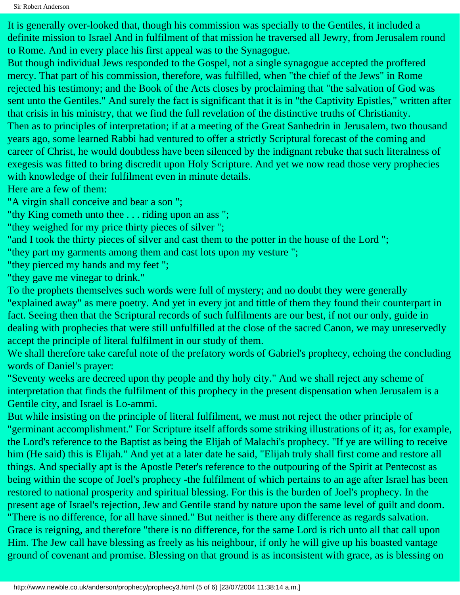Sir Robert Anderson

It is generally over-looked that, though his commission was specially to the Gentiles, it included a definite mission to Israel And in fulfilment of that mission he traversed all Jewry, from Jerusalem round to Rome. And in every place his first appeal was to the Synagogue.

But though individual Jews responded to the Gospel, not a single synagogue accepted the proffered mercy. That part of his commission, therefore, was fulfilled, when "the chief of the Jews" in Rome rejected his testimony; and the Book of the Acts closes by proclaiming that "the salvation of God was sent unto the Gentiles." And surely the fact is significant that it is in "the Captivity Epistles," written after that crisis in his ministry, that we find the full revelation of the distinctive truths of Christianity. Then as to principles of interpretation; if at a meeting of the Great Sanhedrin in Jerusalem, two thousand years ago, some learned Rabbi had ventured to offer a strictly Scriptural forecast of the coming and career of Christ, he would doubtless have been silenced by the indignant rebuke that such literalness of exegesis was fitted to bring discredit upon Holy Scripture. And yet we now read those very prophecies with knowledge of their fulfilment even in minute details.

Here are a few of them:

"A virgin shall conceive and bear a son ";

"thy King cometh unto thee . . . riding upon an ass ";

"they weighed for my price thirty pieces of silver ";

"and I took the thirty pieces of silver and cast them to the potter in the house of the Lord ";

"they part my garments among them and cast lots upon my vesture ";

"they pierced my hands and my feet ";

"they gave me vinegar to drink."

To the prophets themselves such words were full of mystery; and no doubt they were generally "explained away" as mere poetry. And yet in every jot and tittle of them they found their counterpart in fact. Seeing then that the Scriptural records of such fulfilments are our best, if not our only, guide in dealing with prophecies that were still unfulfilled at the close of the sacred Canon, we may unreservedly accept the principle of literal fulfilment in our study of them.

We shall therefore take careful note of the prefatory words of Gabriel's prophecy, echoing the concluding words of Daniel's prayer:

"Seventy weeks are decreed upon thy people and thy holy city." And we shall reject any scheme of interpretation that finds the fulfilment of this prophecy in the present dispensation when Jerusalem is a Gentile city, and Israel is Lo-ammi.

But while insisting on the principle of literal fulfilment, we must not reject the other principle of "germinant accomplishment." For Scripture itself affords some striking illustrations of it; as, for example, the Lord's reference to the Baptist as being the Elijah of Malachi's prophecy. "If ye are willing to receive him (He said) this is Elijah." And yet at a later date he said, "Elijah truly shall first come and restore all things. And specially apt is the Apostle Peter's reference to the outpouring of the Spirit at Pentecost as being within the scope of Joel's prophecy -the fulfilment of which pertains to an age after Israel has been restored to national prosperity and spiritual blessing. For this is the burden of Joel's prophecy. In the present age of Israel's rejection, Jew and Gentile stand by nature upon the same level of guilt and doom. "There is no difference, for all have sinned." But neither is there any difference as regards salvation. Grace is reigning, and therefore "there is no difference, for the same Lord is rich unto all that call upon Him. The Jew call have blessing as freely as his neighbour, if only he will give up his boasted vantage ground of covenant and promise. Blessing on that ground is as inconsistent with grace, as is blessing on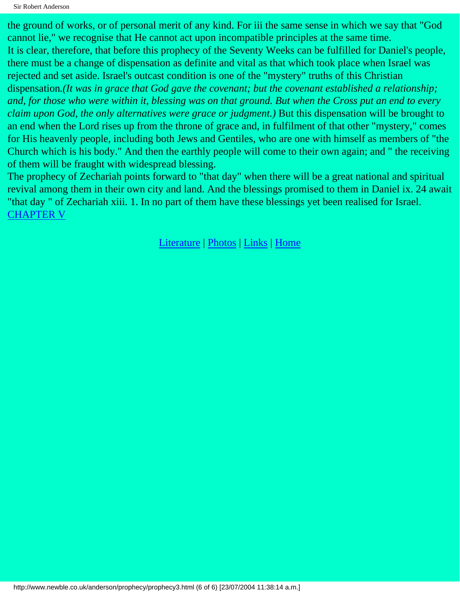Sir Robert Anderson

the ground of works, or of personal merit of any kind. For iii the same sense in which we say that "God cannot lie," we recognise that He cannot act upon incompatible principles at the same time. It is clear, therefore, that before this prophecy of the Seventy Weeks can be fulfilled for Daniel's people, there must be a change of dispensation as definite and vital as that which took place when Israel was rejected and set aside. Israel's outcast condition is one of the "mystery" truths of this Christian dispensation*.(It was in grace that God gave the covenant; but the covenant established a relationship; and, for those who were within it, blessing was on that ground. But when the Cross put an end to every claim upon God, the only alternatives were grace or judgment.)* But this dispensation will be brought to an end when the Lord rises up from the throne of grace and, in fulfilment of that other "mystery," comes for His heavenly people, including both Jews and Gentiles, who are one with himself as members of "the Church which is his body." And then the earthly people will come to their own again; and " the receiving of them will be fraught with widespread blessing.

The prophecy of Zechariah points forward to "that day" when there will be a great national and spiritual revival among them in their own city and land. And the blessings promised to them in Daniel ix. 24 await "that day " of Zechariah xiii. 1. In no part of them have these blessings yet been realised for Israel. [CHAPTER V](#page-11-0)

[Literature](http://www.newble.co.uk/anderson/literature.html) | [Photos](http://www.newble.co.uk/anderson/photos.html) | [Links](http://www.newble.co.uk/anderson/links.html) | [Home](http://www.newble.co.uk/anderson/)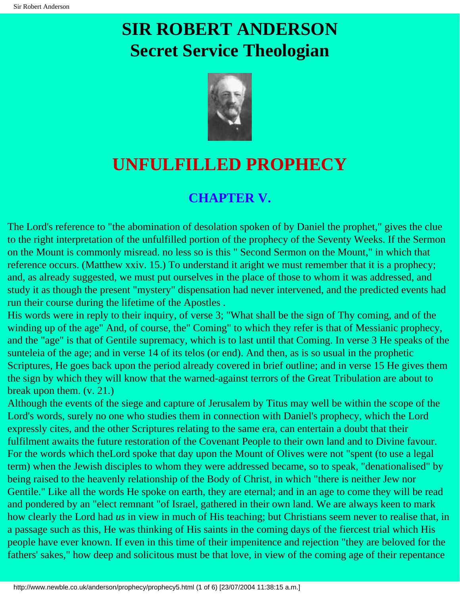# <span id="page-11-0"></span>**SIR ROBERT ANDERSON Secret Service Theologian**



### **UNFULFILLED PROPHECY**

### **CHAPTER V.**

The Lord's reference to "the abomination of desolation spoken of by Daniel the prophet," gives the clue to the right interpretation of the unfulfilled portion of the prophecy of the Seventy Weeks. If the Sermon on the Mount is commonly misread. no less so is this " Second Sermon on the Mount," in which that reference occurs. (Matthew xxiv. 15.) To understand it aright we must remember that it is a prophecy; and, as already suggested, we must put ourselves in the place of those to whom it was addressed, and study it as though the present "mystery" dispensation had never intervened, and the predicted events had run their course during the lifetime of the Apostles .

His words were in reply to their inquiry, of verse 3; "What shall be the sign of Thy coming, and of the winding up of the age" And, of course, the" Coming" to which they refer is that of Messianic prophecy, and the "age" is that of Gentile supremacy, which is to last until that Coming. In verse 3 He speaks of the sunteleia of the age; and in verse 14 of its telos (or end). And then, as is so usual in the prophetic Scriptures, He goes back upon the period already covered in brief outline; and in verse 15 He gives them the sign by which they will know that the warned-against terrors of the Great Tribulation are about to break upon them. (v. 21.)

Although the events of the siege and capture of Jerusalem by Titus may well be within the scope of the Lord's words, surely no one who studies them in connection with Daniel's prophecy, which the Lord expressly cites, and the other Scriptures relating to the same era, can entertain a doubt that their fulfilment awaits the future restoration of the Covenant People to their own land and to Divine favour. For the words which theLord spoke that day upon the Mount of Olives were not "spent (to use a legal term) when the Jewish disciples to whom they were addressed became, so to speak, "denationalised" by being raised to the heavenly relationship of the Body of Christ, in which "there is neither Jew nor Gentile." Like all the words He spoke on earth, they are eternal; and in an age to come they will be read and pondered by an "elect remnant "of Israel, gathered in their own land. We are always keen to mark how clearly the Lord had *us* in view in much of His teaching; but Christians seem never to realise that, in a passage such as this, He was thinking of His saints in the coming days of the fiercest trial which His people have ever known. If even in this time of their impenitence and rejection "they are beloved for the fathers' sakes," how deep and solicitous must be that love, in view of the coming age of their repentance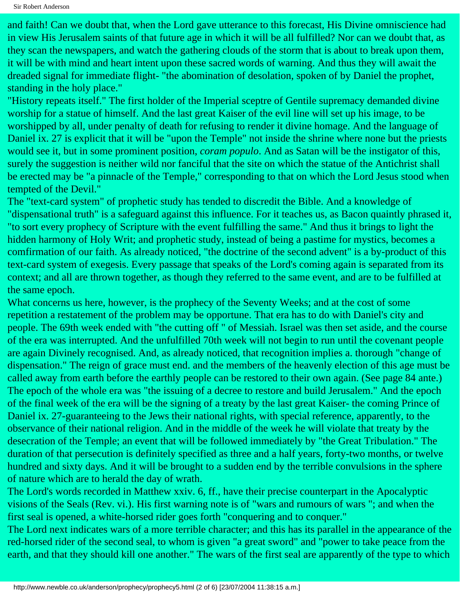and faith! Can we doubt that, when the Lord gave utterance to this forecast, His Divine omniscience had in view His Jerusalem saints of that future age in which it will be all fulfilled? Nor can we doubt that, as they scan the newspapers, and watch the gathering clouds of the storm that is about to break upon them, it will be with mind and heart intent upon these sacred words of warning. And thus they will await the dreaded signal for immediate flight- "the abomination of desolation, spoken of by Daniel the prophet, standing in the holy place."

"History repeats itself." The first holder of the Imperial sceptre of Gentile supremacy demanded divine worship for a statue of himself. And the last great Kaiser of the evil line will set up his image, to be worshipped by all, under penalty of death for refusing to render it divine homage. And the language of Daniel ix. 27 is explicit that it will be "upon the Temple" not inside the shrine where none but the priests would see it, but in some prominent position, *coram populo*. And as Satan will be the instigator of this, surely the suggestion is neither wild nor fanciful that the site on which the statue of the Antichrist shall be erected may be "a pinnacle of the Temple," corresponding to that on which the Lord Jesus stood when tempted of the Devil."

The "text-card system" of prophetic study has tended to discredit the Bible. And a knowledge of "dispensational truth" is a safeguard against this influence. For it teaches us, as Bacon quaintly phrased it, "to sort every prophecy of Scripture with the event fulfilling the same." And thus it brings to light the hidden harmony of Holy Writ; and prophetic study, instead of being a pastime for mystics, becomes a comfirmation of our faith. As already noticed, "the doctrine of the second advent" is a by-product of this text-card system of exegesis. Every passage that speaks of the Lord's coming again is separated from its context; and all are thrown together, as though they referred to the same event, and are to be fulfilled at the same epoch.

What concerns us here, however, is the prophecy of the Seventy Weeks; and at the cost of some repetition a restatement of the problem may be opportune. That era has to do with Daniel's city and people. The 69th week ended with "the cutting off " of Messiah. Israel was then set aside, and the course of the era was interrupted. And the unfulfilled 70th week will not begin to run until the covenant people are again Divinely recognised. And, as already noticed, that recognition implies a. thorough "change of dispensation." The reign of grace must end. and the members of the heavenly election of this age must be called away from earth before the earthly people can be restored to their own again. (See page 84 ante.) The epoch of the whole era was "the issuing of a decree to restore and build Jerusalem." And the epoch of the final week of the era will be the signing of a treaty by the last great Kaiser- the coming Prince of Daniel ix. 27-guaranteeing to the Jews their national rights, with special reference, apparently, to the observance of their national religion. And in the middle of the week he will violate that treaty by the desecration of the Temple; an event that will be followed immediately by "the Great Tribulation." The duration of that persecution is definitely specified as three and a half years, forty-two months, or twelve hundred and sixty days. And it will be brought to a sudden end by the terrible convulsions in the sphere of nature which are to herald the day of wrath.

The Lord's words recorded in Matthew xxiv. 6, ff., have their precise counterpart in the Apocalyptic visions of the Seals (Rev. vi.). His first warning note is of "wars and rumours of wars "; and when the first seal is opened, a white-horsed rider goes forth "conquering and to conquer."

The Lord next indicates wars of a more terrible character; and this has its parallel in the appearance of the red-horsed rider of the second seal, to whom is given "a great sword" and "power to take peace from the earth, and that they should kill one another." The wars of the first seal are apparently of the type to which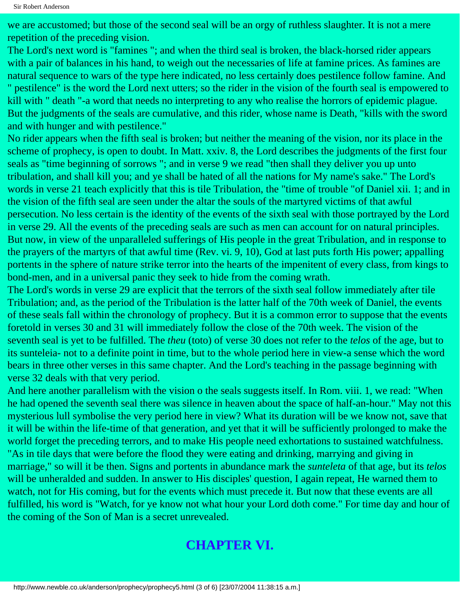we are accustomed; but those of the second seal will be an orgy of ruthless slaughter. It is not a mere repetition of the preceding vision.

The Lord's next word is "famines "; and when the third seal is broken, the black-horsed rider appears with a pair of balances in his hand, to weigh out the necessaries of life at famine prices. As famines are natural sequence to wars of the type here indicated, no less certainly does pestilence follow famine. And " pestilence" is the word the Lord next utters; so the rider in the vision of the fourth seal is empowered to kill with " death "-a word that needs no interpreting to any who realise the horrors of epidemic plague. But the judgments of the seals are cumulative, and this rider, whose name is Death, "kills with the sword and with hunger and with pestilence."

No rider appears when the fifth seal is broken; but neither the meaning of the vision, nor its place in the scheme of prophecy, is open to doubt. In Matt. xxiv. 8, the Lord describes the judgments of the first four seals as "time beginning of sorrows "; and in verse 9 we read "then shall they deliver you up unto tribulation, and shall kill you; and ye shall be hated of all the nations for My name's sake." The Lord's words in verse 21 teach explicitly that this is tile Tribulation, the "time of trouble "of Daniel xii. 1; and in the vision of the fifth seal are seen under the altar the souls of the martyred victims of that awful persecution. No less certain is the identity of the events of the sixth seal with those portrayed by the Lord in verse 29. All the events of the preceding seals are such as men can account for on natural principles. But now, in view of the unparalleled sufferings of His people in the great Tribulation, and in response to the prayers of the martyrs of that awful time (Rev. vi. 9, 10), God at last puts forth His power; appalling portents in the sphere of nature strike terror into the hearts of the impenitent of every class, from kings to bond-men, and in a universal panic they seek to hide from the coming wrath.

The Lord's words in verse 29 are explicit that the terrors of the sixth seal follow immediately after tile Tribulation; and, as the period of the Tribulation is the latter half of the 70th week of Daniel, the events of these seals fall within the chronology of prophecy. But it is a common error to suppose that the events foretold in verses 30 and 31 will immediately follow the close of the 70th week. The vision of the seventh seal is yet to be fulfilled. The *theu* (toto) of verse 30 does not refer to the *telos* of the age, but to its sunteleia- not to a definite point in time, but to the whole period here in view-a sense which the word bears in three other verses in this same chapter. And the Lord's teaching in the passage beginning with verse 32 deals with that very period.

And here another parallelism with the vision o the seals suggests itself. In Rom. viii. 1, we read: "When he had opened the seventh seal there was silence in heaven about the space of half-an-hour." May not this mysterious lull symbolise the very period here in view? What its duration will be we know not, save that it will be within the life-time of that generation, and yet that it will be sufficiently prolonged to make the world forget the preceding terrors, and to make His people need exhortations to sustained watchfulness. "As in tile days that were before the flood they were eating and drinking, marrying and giving in marriage," so will it be then. Signs and portents in abundance mark the *sunteleta* of that age, but its *telos* will be unheralded and sudden. In answer to His disciples' question, I again repeat, He warned them to watch, not for His coming, but for the events which must precede it. But now that these events are all fulfilled, his word is "Watch, for ye know not what hour your Lord doth come." For time day and hour of the coming of the Son of Man is a secret unrevealed.

### **CHAPTER VI.**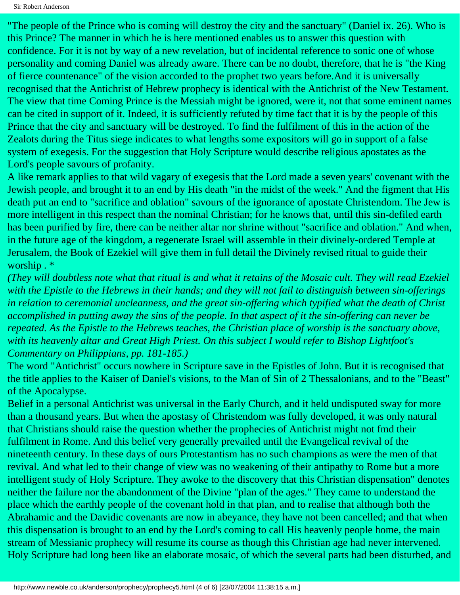"The people of the Prince who is coming will destroy the city and the sanctuary" (Daniel ix. 26). Who is this Prince? The manner in which he is here mentioned enables us to answer this question with confidence. For it is not by way of a new revelation, but of incidental reference to sonic one of whose personality and coming Daniel was already aware. There can be no doubt, therefore, that he is "the King of fierce countenance" of the vision accorded to the prophet two years before.And it is universally recognised that the Antichrist of Hebrew prophecy is identical with the Antichrist of the New Testament. The view that time Coming Prince is the Messiah might be ignored, were it, not that some eminent names can be cited in support of it. Indeed, it is sufficiently refuted by time fact that it is by the people of this Prince that the city and sanctuary will be destroyed. To find the fulfilment of this in the action of the Zealots during the Titus siege indicates to what lengths some expositors will go in support of a false system of exegesis. For the suggestion that Holy Scripture would describe religious apostates as the Lord's people savours of profanity.

A like remark applies to that wild vagary of exegesis that the Lord made a seven years' covenant with the Jewish people, and brought it to an end by His death "in the midst of the week." And the figment that His death put an end to "sacrifice and oblation" savours of the ignorance of apostate Christendom. The Jew is more intelligent in this respect than the nominal Christian; for he knows that, until this sin-defiled earth has been purified by fire, there can be neither altar nor shrine without "sacrifice and oblation." And when, in the future age of the kingdom, a regenerate Israel will assemble in their divinely-ordered Temple at Jerusalem, the Book of Ezekiel will give them in full detail the Divinely revised ritual to guide their worship . \*

*(They will doubtless note what that ritual is and what it retains of the Mosaic cult. They will read Ezekiel with the Epistle to the Hebrews in their hands; and they will not fail to distinguish between sin-offerings in relation to ceremonial uncleanness, and the great sin-offering which typified what the death of Christ accomplished in putting away the sins of the people. In that aspect of it the sin-offering can never be repeated. As the Epistle to the Hebrews teaches, the Christian place of worship is the sanctuary above, with its heavenly altar and Great High Priest. On this subject I would refer to Bishop Lightfoot's Commentary on Philippians, pp. 181-185.)*

The word "Antichrist" occurs nowhere in Scripture save in the Epistles of John. But it is recognised that the title applies to the Kaiser of Daniel's visions, to the Man of Sin of 2 Thessalonians, and to the "Beast" of the Apocalypse.

Belief in a personal Antichrist was universal in the Early Church, and it held undisputed sway for more than a thousand years. But when the apostasy of Christendom was fully developed, it was only natural that Christians should raise the question whether the prophecies of Antichrist might not fmd their fulfilment in Rome. And this belief very generally prevailed until the Evangelical revival of the nineteenth century. In these days of ours Protestantism has no such champions as were the men of that revival. And what led to their change of view was no weakening of their antipathy to Rome but a more intelligent study of Holy Scripture. They awoke to the discovery that this Christian dispensation" denotes neither the failure nor the abandonment of the Divine "plan of the ages." They came to understand the place which the earthly people of the covenant hold in that plan, and to realise that although both the Abrahamic and the Davidic covenants are now in abeyance, they have not been cancelled; and that when this dispensation is brought to an end by the Lord's coming to call His heavenly people home, the main stream of Messianic prophecy will resume its course as though this Christian age had never intervened. Holy Scripture had long been like an elaborate mosaic, of which the several parts had been disturbed, and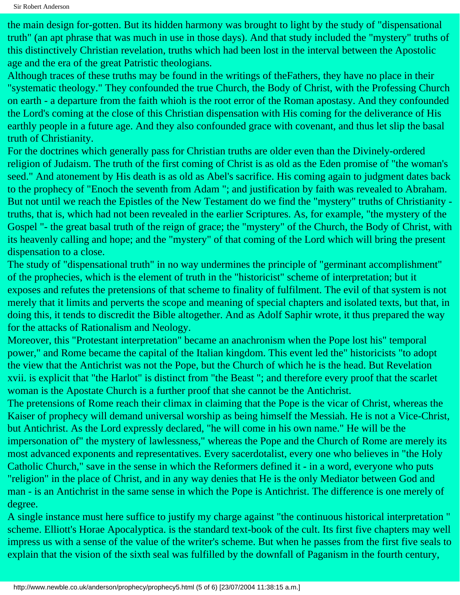the main design for-gotten. But its hidden harmony was brought to light by the study of "dispensational truth" (an apt phrase that was much in use in those days). And that study included the "mystery" truths of this distinctively Christian revelation, truths which had been lost in the interval between the Apostolic age and the era of the great Patristic theologians.

Although traces of these truths may be found in the writings of theFathers, they have no place in their "systematic theology." They confounded the true Church, the Body of Christ, with the Professing Church on earth - a departure from the faith whioh is the root error of the Roman apostasy. And they confounded the Lord's coming at the close of this Christian dispensation with His coming for the deliverance of His earthly people in a future age. And they also confounded grace with covenant, and thus let slip the basal truth of Christianity.

For the doctrines which generally pass for Christian truths are older even than the Divinely-ordered religion of Judaism. The truth of the first coming of Christ is as old as the Eden promise of "the woman's seed." And atonement by His death is as old as Abel's sacrifice. His coming again to judgment dates back to the prophecy of "Enoch the seventh from Adam "; and justification by faith was revealed to Abraham. But not until we reach the Epistles of the New Testament do we find the "mystery" truths of Christianity truths, that is, which had not been revealed in the earlier Scriptures. As, for example, "the mystery of the Gospel "- the great basal truth of the reign of grace; the "mystery" of the Church, the Body of Christ, with its heavenly calling and hope; and the "mystery" of that coming of the Lord which will bring the present dispensation to a close.

The study of "dispensational truth" in no way undermines the principle of "germinant accomplishment" of the prophecies, which is the element of truth in the "historicist" scheme of interpretation; but it exposes and refutes the pretensions of that scheme to finality of fulfilment. The evil of that system is not merely that it limits and perverts the scope and meaning of special chapters and isolated texts, but that, in doing this, it tends to discredit the Bible altogether. And as Adolf Saphir wrote, it thus prepared the way for the attacks of Rationalism and Neology.

Moreover, this "Protestant interpretation" became an anachronism when the Pope lost his" temporal power," and Rome became the capital of the Italian kingdom. This event led the" historicists "to adopt the view that the Antichrist was not the Pope, but the Church of which he is the head. But Revelation xvii. is explicit that "the Harlot" is distinct from "the Beast "; and therefore every proof that the scarlet woman is the Apostate Church is a further proof that she cannot be the Antichrist.

The pretensions of Rome reach their climax in claiming that the Pope is the vicar of Christ, whereas the Kaiser of prophecy will demand universal worship as being himself the Messiah. He is not a Vice-Christ, but Antichrist. As the Lord expressly declared, "he will come in his own name." He will be the impersonation of" the mystery of lawlessness," whereas the Pope and the Church of Rome are merely its most advanced exponents and representatives. Every sacerdotalist, every one who believes in "the Holy Catholic Church," save in the sense in which the Reformers defined it - in a word, everyone who puts "religion" in the place of Christ, and in any way denies that He is the only Mediator between God and man - is an Antichrist in the same sense in which the Pope is Antichrist. The difference is one merely of degree.

A single instance must here suffice to justify my charge against "the continuous historical interpretation " scheme. Elliott's Horae Apocalyptica. is the standard text-book of the cult. Its first five chapters may well impress us with a sense of the value of the writer's scheme. But when he passes from the first five seals to explain that the vision of the sixth seal was fulfilled by the downfall of Paganism in the fourth century,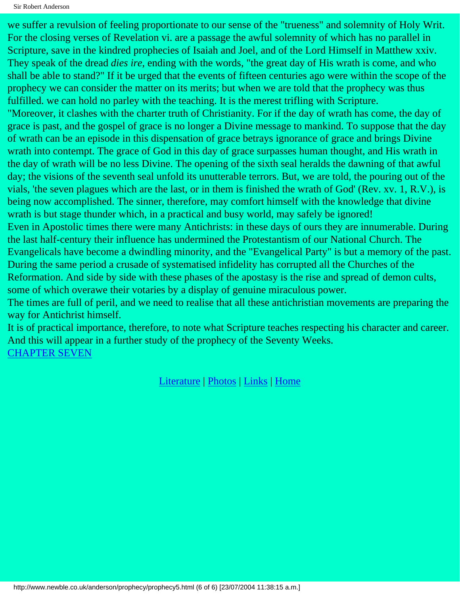```
Sir Robert Anderson
```
we suffer a revulsion of feeling proportionate to our sense of the "trueness" and solemnity of Holy Writ. For the closing verses of Revelation vi. are a passage the awful solemnity of which has no parallel in Scripture, save in the kindred prophecies of Isaiah and Joel, and of the Lord Himself in Matthew xxiv. They speak of the dread *dies ire*, ending with the words, "the great day of His wrath is come, and who shall be able to stand?" If it be urged that the events of fifteen centuries ago were within the scope of the prophecy we can consider the matter on its merits; but when we are told that the prophecy was thus fulfilled. we can hold no parley with the teaching. It is the merest trifling with Scripture. "Moreover, it clashes with the charter truth of Christianity. For if the day of wrath has come, the day of

grace is past, and the gospel of grace is no longer a Divine message to mankind. To suppose that the day of wrath can be an episode in this dispensation of grace betrays ignorance of grace and brings Divine wrath into contempt. The grace of God in this day of grace surpasses human thought, and His wrath in the day of wrath will be no less Divine. The opening of the sixth seal heralds the dawning of that awful day; the visions of the seventh seal unfold its unutterable terrors. But, we are told, the pouring out of the vials, 'the seven plagues which are the last, or in them is finished the wrath of God' (Rev. xv. 1, R.V.), is being now accomplished. The sinner, therefore, may comfort himself with the knowledge that divine wrath is but stage thunder which, in a practical and busy world, may safely be ignored! Even in Apostolic times there were many Antichrists: in these days of ours they are innumerable. During the last half-century their influence has undermined the Protestantism of our National Church. The Evangelicals have become a dwindling minority, and the "Evangelical Party" is but a memory of the past.

During the same period a crusade of systematised infidelity has corrupted all the Churches of the Reformation. And side by side with these phases of the apostasy is the rise and spread of demon cults, some of which overawe their votaries by a display of genuine miraculous power.

The times are full of peril, and we need to realise that all these antichristian movements are preparing the way for Antichrist himself.

It is of practical importance, therefore, to note what Scripture teaches respecting his character and career. And this will appear in a further study of the prophecy of the Seventy Weeks. [CHAPTER SEVEN](#page-17-0)

[Literature](http://www.newble.co.uk/anderson/literature.html) | [Photos](http://www.newble.co.uk/anderson/photos.html) | [Links](http://www.newble.co.uk/anderson/links.html) | [Home](http://www.newble.co.uk/anderson/)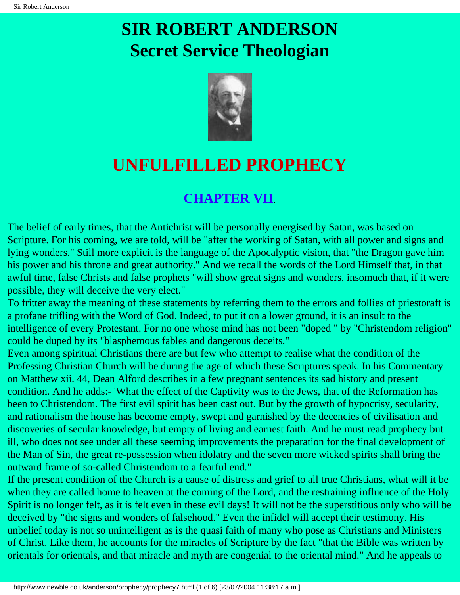# <span id="page-17-0"></span>**SIR ROBERT ANDERSON Secret Service Theologian**



## **UNFULFILLED PROPHECY**

### **CHAPTER VII**.

The belief of early times, that the Antichrist will be personally energised by Satan, was based on Scripture. For his coming, we are told, will be "after the working of Satan, with all power and signs and lying wonders." Still more explicit is the language of the Apocalyptic vision, that "the Dragon gave him his power and his throne and great authority." And we recall the words of the Lord Himself that, in that awful time, false Christs and false prophets "will show great signs and wonders, insomuch that, if it were possible, they will deceive the very elect."

To fritter away the meaning of these statements by referring them to the errors and follies of priestoraft is a profane trifling with the Word of God. Indeed, to put it on a lower ground, it is an insult to the intelligence of every Protestant. For no one whose mind has not been "doped " by "Christendom religion" could be duped by its "blasphemous fables and dangerous deceits."

Even among spiritual Christians there are but few who attempt to realise what the condition of the Professing Christian Church will be during the age of which these Scriptures speak. In his Commentary on Matthew xii. 44, Dean Alford describes in a few pregnant sentences its sad history and present condition. And he adds:- 'What the effect of the Captivity was to the Jews, that of the Reformation has been to Christendom. The first evil spirit has been cast out. But by the growth of hypocrisy, secularity, and rationalism the house has become empty, swept and garnished by the decencies of civilisation and discoveries of secular knowledge, but empty of living and earnest faith. And he must read prophecy but ill, who does not see under all these seeming improvements the preparation for the final development of the Man of Sin, the great re-possession when idolatry and the seven more wicked spirits shall bring the outward frame of so-called Christendom to a fearful end."

If the present condition of the Church is a cause of distress and grief to all true Christians, what will it be when they are called home to heaven at the coming of the Lord, and the restraining influence of the Holy Spirit is no longer felt, as it is felt even in these evil days! It will not be the superstitious only who will be deceived by "the signs and wonders of falsehood." Even the infidel will accept their testimony. His unbelief today is not so unintelligent as is the quasi faith of many who pose as Christians and Ministers of Christ. Like them, he accounts for the miracles of Scripture by the fact "that the Bible was written by orientals for orientals, and that miracle and myth are congenial to the oriental mind." And he appeals to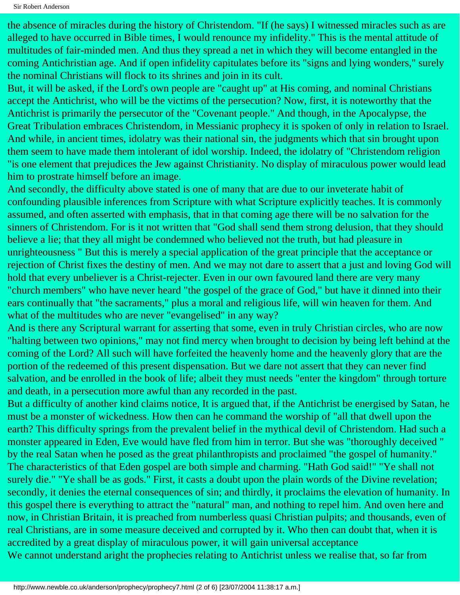the absence of miracles during the history of Christendom. "If (he says) I witnessed miracles such as are alleged to have occurred in Bible times, I would renounce my infidelity." This is the mental attitude of multitudes of fair-minded men. And thus they spread a net in which they will become entangled in the coming Antichristian age. And if open infidelity capitulates before its "signs and lying wonders," surely the nominal Christians will flock to its shrines and join in its cult.

But, it will be asked, if the Lord's own people are "caught up" at His coming, and nominal Christians accept the Antichrist, who will be the victims of the persecution? Now, first, it is noteworthy that the Antichrist is primarily the persecutor of the "Covenant people." And though, in the Apocalypse, the Great Tribulation embraces Christendom, in Messianic prophecy it is spoken of only in relation to Israel. And while, in ancient times, idolatry was their national sin, the judgments which that sin brought upon them seem to have made them intolerant of idol worship. Indeed, the idolatry of "Christendom religion "is one element that prejudices the Jew against Christianity. No display of miraculous power would lead him to prostrate himself before an image.

And secondly, the difficulty above stated is one of many that are due to our inveterate habit of confounding plausible inferences from Scripture with what Scripture explicitly teaches. It is commonly assumed, and often asserted with emphasis, that in that coming age there will be no salvation for the sinners of Christendom. For is it not written that "God shall send them strong delusion, that they should believe a lie; that they all might be condemned who believed not the truth, but had pleasure in unrighteousness " But this is merely a special application of the great principle that the acceptance or rejection of Christ fixes the destiny of men. And we may not dare to assert that a just and loving God will hold that every unbeliever is a Christ-rejecter. Even in our own favoured land there are very many "church members" who have never heard "the gospel of the grace of God," but have it dinned into their ears continually that "the sacraments," plus a moral and religious life, will win heaven for them. And what of the multitudes who are never "evangelised" in any way?

And is there any Scriptural warrant for asserting that some, even in truly Christian circles, who are now "halting between two opinions," may not find mercy when brought to decision by being left behind at the coming of the Lord? All such will have forfeited the heavenly home and the heavenly glory that are the portion of the redeemed of this present dispensation. But we dare not assert that they can never find salvation, and be enrolled in the book of life; albeit they must needs "enter the kingdom" through torture and death, in a persecution more awful than any recorded in the past.

But a difficulty of another kind claims notice, It is argued that, if the Antichrist be energised by Satan, he must be a monster of wickedness. How then can he command the worship of "all that dwell upon the earth? This difficulty springs from the prevalent belief in the mythical devil of Christendom. Had such a monster appeared in Eden, Eve would have fled from him in terror. But she was "thoroughly deceived " by the real Satan when he posed as the great philanthropists and proclaimed "the gospel of humanity." The characteristics of that Eden gospel are both simple and charming. "Hath God said!" "Ye shall not surely die." "Ye shall be as gods." First, it casts a doubt upon the plain words of the Divine revelation; secondly, it denies the eternal consequences of sin; and thirdly, it proclaims the elevation of humanity. In this gospel there is everything to attract the "natural" man, and nothing to repel him. And oven here and now, in Christian Britain, it is preached from numberless quasi Christian pulpits; and thousands, even of real Christians, are in some measure deceived and corrupted by it. Who then can doubt that, when it is accredited by a great display of miraculous power, it will gain universal acceptance

We cannot understand aright the prophecies relating to Antichrist unless we realise that, so far from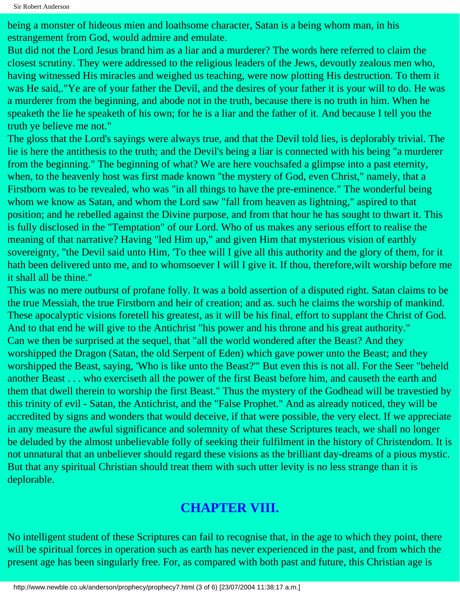being a monster of hideous mien and loathsome character, Satan is a being whom man, in his estrangement from God, would admire and emulate.

But did not the Lord Jesus brand him as a liar and a murderer? The words here referred to claim the closest scrutiny. They were addressed to the religious leaders of the Jews, devoutly zealous men who, having witnessed His miracles and weighed us teaching, were now plotting His destruction. To them it was He said,."Ye are of your father the Devil, and the desires of your father it is your will to do. He was a murderer from the beginning, and abode not in the truth, because there is no truth in him. When he speaketh the lie he speaketh of his own; for he is a liar and the father of it. And because I tell you the truth ye believe me not."

The gloss that the Lord's sayings were always true, and that the Devil told lies, is deplorably trivial. The lie is here the antithesis to the truth; and the Devil's being a liar is connected with his being "a murderer from the beginning." The beginning of what? We are here vouchsafed a glimpse into a past eternity, when, to the heavenly host was first made known "the mystery of God, even Christ," namely, that a Firstborn was to be revealed, who was "in all things to have the pre-eminence." The wonderful being whom we know as Satan, and whom the Lord saw "fall from heaven as lightning," aspired to that position; and he rebelled against the Divine purpose, and from that hour he has sought to thwart it. This is fully disclosed in the "Temptation" of our Lord. Who of us makes any serious effort to realise the meaning of that narrative? Having "led Him up," and given Him that mysterious vision of earthly sovereignty, "the Devil said unto Him, 'To thee will I give all this authority and the glory of them, for it hath been delivered unto me, and to whomsoever I will I give it. If thou, therefore,wilt worship before me it shall all be thine."

This was no mere outburst of profane folly. It was a bold assertion of a disputed right. Satan claims to be the true Messiah, the true Firstborn and heir of creation; and as. such he claims the worship of mankind. These apocalyptic visions foretell his greatest, as it will be his final, effort to supplant the Christ of God. And to that end he will give to the Antichrist "his power and his throne and his great authority." Can we then be surprised at the sequel, that "all the world wondered after the Beast? And they worshipped the Dragon (Satan, the old Serpent of Eden) which gave power unto the Beast; and they worshipped the Beast, saying, 'Who is like unto the Beast?'" But even this is not all. For the Seer "beheld another Beast . . . who exerciseth all the power of the first Beast before him, and causeth the earth and them that dwell therein to worship the first Beast." Thus the mystery of the Godhead will be travestied by this trinity of evil - Satan, the Antichrist, and the "False Prophet." And as already noticed, they will be accredited by signs and wonders that would deceive, if that were possible, the very elect. If we appreciate in any measure the awful significance and solemnity of what these Scriptures teach, we shall no longer be deluded by the almost unbelievable folly of seeking their fulfilment in the history of Christendom. It is not unnatural that an unbeliever should regard these visions as the brilliant day-dreams of a pious mystic. But that any spiritual Christian should treat them with such utter levity is no less strange than it is deplorable.

### **CHAPTER VIII.**

No intelligent student of these Scriptures can fail to recognise that, in the age to which they point, there will be spiritual forces in operation such as earth has never experienced in the past, and from which the present age has been singularly free. For, as compared with both past and future, this Christian age is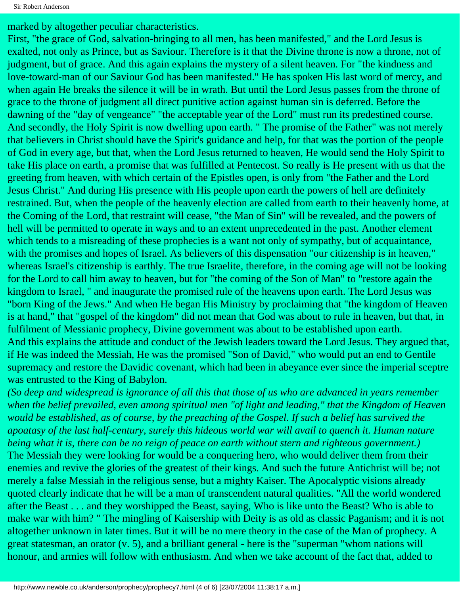marked by altogether peculiar characteristics.

First, "the grace of God, salvation-bringing to all men, has been manifested," and the Lord Jesus is exalted, not only as Prince, but as Saviour. Therefore is it that the Divine throne is now a throne, not of judgment, but of grace. And this again explains the mystery of a silent heaven. For "the kindness and love-toward-man of our Saviour God has been manifested." He has spoken His last word of mercy, and when again He breaks the silence it will be in wrath. But until the Lord Jesus passes from the throne of grace to the throne of judgment all direct punitive action against human sin is deferred. Before the dawning of the "day of vengeance" "the acceptable year of the Lord" must run its predestined course. And secondly, the Holy Spirit is now dwelling upon earth. " The promise of the Father" was not merely that believers in Christ should have the Spirit's guidance and help, for that was the portion of the people of God in every age, but that, when the Lord Jesus returned to heaven, He would send the Holy Spirit to take His place on earth, a promise that was fulfilled at Pentecost. So really is He present with us that the greeting from heaven, with which certain of the Epistles open, is only from "the Father and the Lord Jesus Christ." And during His presence with His people upon earth the powers of hell are definitely restrained. But, when the people of the heavenly election are called from earth to their heavenly home, at the Coming of the Lord, that restraint will cease, "the Man of Sin" will be revealed, and the powers of hell will be permitted to operate in ways and to an extent unprecedented in the past. Another element which tends to a misreading of these prophecies is a want not only of sympathy, but of acquaintance, with the promises and hopes of Israel. As believers of this dispensation "our citizenship is in heaven," whereas Israel's citizenship is earthly. The true Israelite, therefore, in the coming age will not be looking for the Lord to call him away to heaven, but for "the coming of the Son of Man" to "restore again the kingdom to Israel, " and inaugurate the promised rule of the heavens upon earth. The Lord Jesus was "born King of the Jews." And when He began His Ministry by proclaiming that "the kingdom of Heaven is at hand," that "gospel of the kingdom" did not mean that God was about to rule in heaven, but that, in fulfilment of Messianic prophecy, Divine government was about to be established upon earth. And this explains the attitude and conduct of the Jewish leaders toward the Lord Jesus. They argued that, if He was indeed the Messiah, He was the promised "Son of David," who would put an end to Gentile supremacy and restore the Davidic covenant, which had been in abeyance ever since the imperial sceptre was entrusted to the King of Babylon.

*(So deep and widespread is ignorance of all this that those of us who are advanced in years remember when the belief prevailed, even among spiritual men "of light and leading," that the Kingdom of Heaven would be established, as of course, by the preaching of the Gospel. If such a belief has survived the apoatasy of the last half-century, surely this hideous world war will avail to quench it. Human nature being what it is, there can be no reign of peace on earth without stern and righteous government.)* The Messiah they were looking for would be a conquering hero, who would deliver them from their enemies and revive the glories of the greatest of their kings. And such the future Antichrist will be; not merely a false Messiah in the religious sense, but a mighty Kaiser. The Apocalyptic visions already quoted clearly indicate that he will be a man of transcendent natural qualities. "All the world wondered after the Beast . . . and they worshipped the Beast, saying, Who is like unto the Beast? Who is able to make war with him? " The mingling of Kaisership with Deity is as old as classic Paganism; and it is not altogether unknown in later times. But it will be no mere theory in the case of the Man of prophecy. A great statesman, an orator (v. 5), and a brilliant general - here is the "superman "whom nations will honour, and armies will follow with enthusiasm. And when we take account of the fact that, added to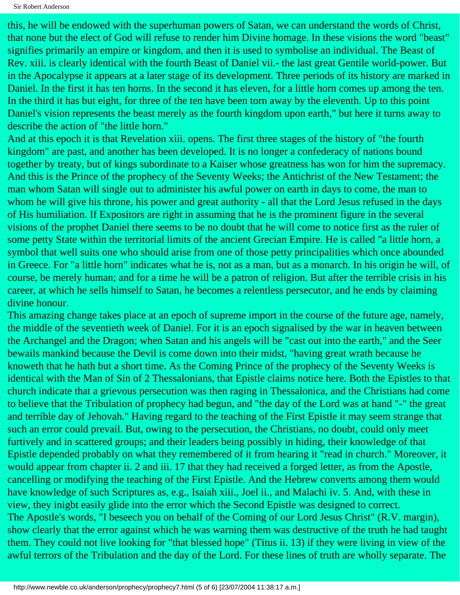Sir Robert Anderson

this, he will be endowed with the superhuman powers of Satan, we can understand the words of Christ, that none but the elect of God will refuse to render him Divine homage. In these visions the word "beast" signifies primarily an empire or kingdom, and then it is used to symbolise an individual. The Beast of Rev. xiii. is clearly identical with the fourth Beast of Daniel vii.- the last great Gentile world-power. But in the Apocalypse it appears at a later stage of its development. Three periods of its history are marked in Daniel. In the first it has ten horns. In the second it has eleven, for a little horn comes up among the ten. In the third it has but eight, for three of the ten have been torn away by the eleventh. Up to this point Daniel's vision represents the beast merely as the fourth kingdom upon earth," but here it turns away to describe the action of "the little horn."

And at this epoch it is that Revelation xiii. opens. The first three stages of the history of "the fourth kingdom" are past, and another has been developed. It is no longer a confederacy of nations bound together by treaty, but of kings subordinate to a Kaiser whose greatness has won for him the supremacy. And this is the Prince of the prophecy of the Seventy Weeks; the Antichrist of the New Testament; the man whom Satan will single out to administer his awful power on earth in days to come, the man to whom he will give his throne, his power and great authority - all that the Lord Jesus refused in the days of His humiliation. If Expositors are right in assuming that he is the prominent figure in the several visions of the prophet Daniel there seems to be no doubt that he will come to notice first as the ruler of some petty State within the territorial limits of the ancient Grecian Empire. He is called "a little horn, a symbol that well suits one who should arise from one of those petty principalities which once abounded in Greece. For "a little horn" indicates what he is, not as a man, but as a monarch. In his origin he will, of course, be merely human; and for a time he will be a patron of religion. But after the terrible crisis in his career, at which he sells himself to Satan, he becomes a relentless persecutor, and he ends by claiming divine honour.

This amazing change takes place at an epoch of supreme import in the course of the future age, namely, the middle of the seventieth week of Daniel. For it is an epoch signalised by the war in heaven between the Archangel and the Dragon; when Satan and his angels will be "cast out into the earth," and the Seer bewails mankind because the Devil is come down into their midst, "having great wrath because he knoweth that he hath but a short time. As the Coming Prince of the prophecy of the Seventy Weeks is identical with the Man of Sin of 2 Thessalonians, that Epistle claims notice here. Both the Epistles to that church indicate that a grievous persecution was then raging in Thessalonica, and the Christians had come to believe that the Tribulation of prophecy had begun, and "the day of the Lord was at hand "-" the great and terrible day of Jehovah." Having regard to the teaching of the First Epistle it may seem strange that such an error could prevail. But, owing to the persecution, the Christians, no doubt, could only meet furtively and in scattered groups; and their leaders being possibly in hiding, their knowledge of that Epistle depended probably on what they remembered of it from hearing it "read in church." Moreover, it would appear from chapter ii. 2 and iii. 17 that they had received a forged letter, as from the Apostle, cancelling or modifying the teaching of the First Epistle. And the Hebrew converts among them would have knowledge of such Scriptures as, e.g., Isaiah xiii., Joel ii., and Malachi iv. 5. And, with these in view, they inigbt easily glide into the error which the Second Epistle was designed to correct. The Apostle's words, "I beseech you on behalf of the Coming of our Lord Jesus Christ" (R.V. margin), show clearly that the error against which he was warning them was destructive of the truth he had taught them. They could not live looking for "that blessed hope" (Titus ii. 13) if they were living in view of the awful terrors of the Tribulation and the day of the Lord. For these lines of truth are wholly separate. The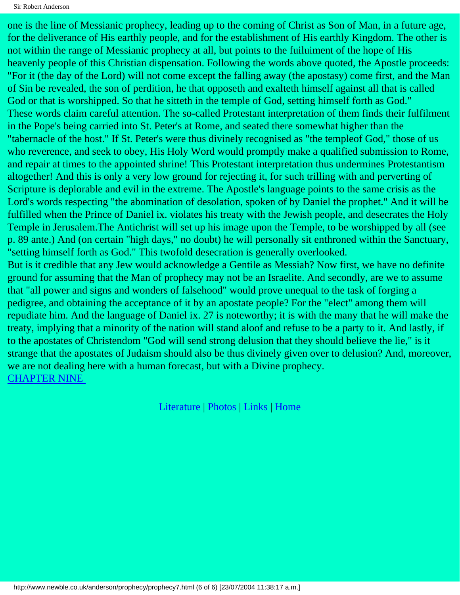one is the line of Messianic prophecy, leading up to the coming of Christ as Son of Man, in a future age, for the deliverance of His earthly people, and for the establishment of His earthly Kingdom. The other is not within the range of Messianic prophecy at all, but points to the fuiluiment of the hope of His heavenly people of this Christian dispensation. Following the words above quoted, the Apostle proceeds: "For it (the day of the Lord) will not come except the falling away (the apostasy) come first, and the Man of Sin be revealed, the son of perdition, he that opposeth and exalteth himself against all that is called God or that is worshipped. So that he sitteth in the temple of God, setting himself forth as God." These words claim careful attention. The so-called Protestant interpretation of them finds their fulfilment in the Pope's being carried into St. Peter's at Rome, and seated there somewhat higher than the "tabernacle of the host." If St. Peter's were thus divinely recognised as "the templeof God," those of us who reverence, and seek to obey, His Holy Word would promptly make a qualified submission to Rome, and repair at times to the appointed shrine! This Protestant interpretation thus undermines Protestantism altogether! And this is only a very low ground for rejecting it, for such trilling with and perverting of Scripture is deplorable and evil in the extreme. The Apostle's language points to the same crisis as the Lord's words respecting "the abomination of desolation, spoken of by Daniel the prophet." And it will be fulfilled when the Prince of Daniel ix. violates his treaty with the Jewish people, and desecrates the Holy Temple in Jerusalem.The Antichrist will set up his image upon the Temple, to be worshipped by all (see p. 89 ante.) And (on certain "high days," no doubt) he will personally sit enthroned within the Sanctuary, "setting himself forth as God." This twofold desecration is generally overlooked. But is it credible that any Jew would acknowledge a Gentile as Messiah? Now first, we have no definite ground for assuming that the Man of prophecy may not be an Israelite. And secondly, are we to assume that "all power and signs and wonders of falsehood" would prove unequal to the task of forging a pedigree, and obtaining the acceptance of it by an apostate people? For the "elect" among them will repudiate him. And the language of Daniel ix. 27 is noteworthy; it is with the many that he will make the treaty, implying that a minority of the nation will stand aloof and refuse to be a party to it. And lastly, if to the apostates of Christendom "God will send strong delusion that they should believe the lie," is it strange that the apostates of Judaism should also be thus divinely given over to delusion? And, moreover, we are not dealing here with a human forecast, but with a Divine prophecy.

[CHAPTER NINE](#page-23-0) 

[Literature](http://www.newble.co.uk/anderson/literature.html) | [Photos](http://www.newble.co.uk/anderson/photos.html) | [Links](http://www.newble.co.uk/anderson/links.html) | [Home](http://www.newble.co.uk/anderson/)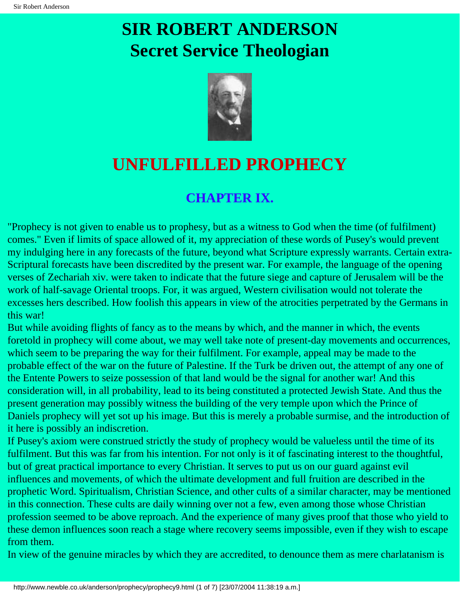# <span id="page-23-0"></span>**SIR ROBERT ANDERSON Secret Service Theologian**



## **UNFULFILLED PROPHECY**

### **CHAPTER IX.**

"Prophecy is not given to enable us to prophesy, but as a witness to God when the time (of fulfilment) comes." Even if limits of space allowed of it, my appreciation of these words of Pusey's would prevent my indulging here in any forecasts of the future, beyond what Scripture expressly warrants. Certain extra-Scriptural forecasts have been discredited by the present war. For example, the language of the opening verses of Zechariah xiv. were taken to indicate that the future siege and capture of Jerusalem will be the work of half-savage Oriental troops. For, it was argued, Western civilisation would not tolerate the excesses hers described. How foolish this appears in view of the atrocities perpetrated by the Germans in this war!

But while avoiding flights of fancy as to the means by which, and the manner in which, the events foretold in prophecy will come about, we may well take note of present-day movements and occurrences, which seem to be preparing the way for their fulfilment. For example, appeal may be made to the probable effect of the war on the future of Palestine. If the Turk be driven out, the attempt of any one of the Entente Powers to seize possession of that land would be the signal for another war! And this consideration will, in all probability, lead to its being constituted a protected Jewish State. And thus the present generation may possibly witness the building of the very temple upon which the Prince of Daniels prophecy will yet sot up his image. But this is merely a probable surmise, and the introduction of it here is possibly an indiscretion.

If Pusey's axiom were construed strictly the study of prophecy would be valueless until the time of its fulfilment. But this was far from his intention. For not only is it of fascinating interest to the thoughtful, but of great practical importance to every Christian. It serves to put us on our guard against evil influences and movements, of which the ultimate development and full fruition are described in the prophetic Word. Spiritualism, Christian Science, and other cults of a similar character, may be mentioned in this connection. These cults are daily winning over not a few, even among those whose Christian profession seemed to be above reproach. And the experience of many gives proof that those who yield to these demon influences soon reach a stage where recovery seems impossible, even if they wish to escape from them.

In view of the genuine miracles by which they are accredited, to denounce them as mere charlatanism is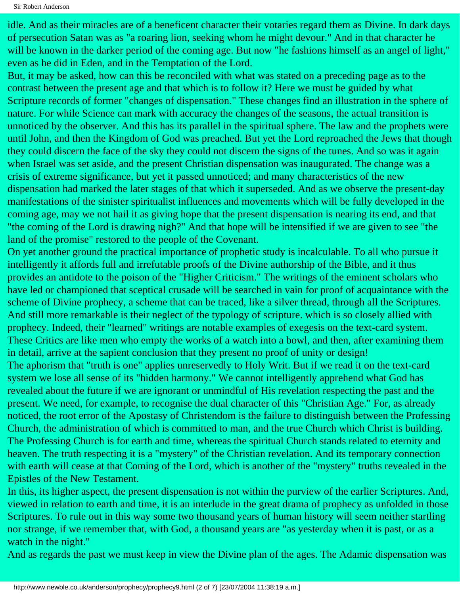idle. And as their miracles are of a beneficent character their votaries regard them as Divine. In dark days of persecution Satan was as "a roaring lion, seeking whom he might devour." And in that character he will be known in the darker period of the coming age. But now "he fashions himself as an angel of light," even as he did in Eden, and in the Temptation of the Lord.

But, it may be asked, how can this be reconciled with what was stated on a preceding page as to the contrast between the present age and that which is to follow it? Here we must be guided by what Scripture records of former "changes of dispensation." These changes find an illustration in the sphere of nature. For while Science can mark with accuracy the changes of the seasons, the actual transition is unnoticed by the observer. And this has its parallel in the spiritual sphere. The law and the prophets were until John, and then the Kingdom of God was preached. But yet the Lord reproached the Jews that though they could discern the face of the sky they could not discern the signs of the tunes. And so was it again when Israel was set aside, and the present Christian dispensation was inaugurated. The change was a crisis of extreme significance, but yet it passed unnoticed; and many characteristics of the new dispensation had marked the later stages of that which it superseded. And as we observe the present-day manifestations of the sinister spiritualist influences and movements which will be fully developed in the coming age, may we not hail it as giving hope that the present dispensation is nearing its end, and that "the coming of the Lord is drawing nigh?" And that hope will be intensified if we are given to see "the land of the promise" restored to the people of the Covenant.

On yet another ground the practical importance of prophetic study is incalculable. To all who pursue it intelligently it affords full and irrefutable proofs of the Divine authorship of the Bible, and it thus provides an antidote to the poison of the "Higher Criticism." The writings of the eminent scholars who have led or championed that sceptical crusade will be searched in vain for proof of acquaintance with the scheme of Divine prophecy, a scheme that can be traced, like a silver thread, through all the Scriptures. And still more remarkable is their neglect of the typology of scripture. which is so closely allied with prophecy. Indeed, their "learned" writings are notable examples of exegesis on the text-card system. These Critics are like men who empty the works of a watch into a bowl, and then, after examining them in detail, arrive at the sapient conclusion that they present no proof of unity or design!

The aphorism that "truth is one" applies unreservedly to Holy Writ. But if we read it on the text-card system we lose all sense of its "hidden harmony." We cannot intelligently apprehend what God has revealed about the future if we are ignorant or unmindful of His revelation respecting the past and the present. We need, for example, to recognise the dual character of this "Christian Age." For, as already noticed, the root error of the Apostasy of Christendom is the failure to distinguish between the Professing Church, the administration of which is committed to man, and the true Church which Christ is building. The Professing Church is for earth and time, whereas the spiritual Church stands related to eternity and heaven. The truth respecting it is a "mystery" of the Christian revelation. And its temporary connection with earth will cease at that Coming of the Lord, which is another of the "mystery" truths revealed in the Epistles of the New Testament.

In this, its higher aspect, the present dispensation is not within the purview of the earlier Scriptures. And, viewed in relation to earth and time, it is an interlude in the great drama of prophecy as unfolded in those Scriptures. To rule out in this way some two thousand years of human history will seem neither startling nor strange, if we remember that, with God, a thousand years are "as yesterday when it is past, or as a watch in the night."

And as regards the past we must keep in view the Divine plan of the ages. The Adamic dispensation was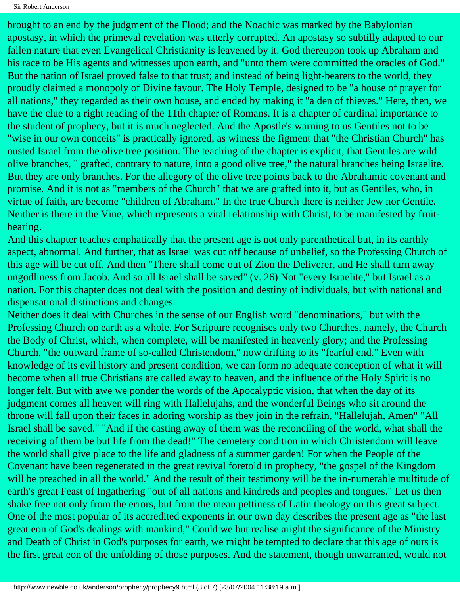brought to an end by the judgment of the Flood; and the Noachic was marked by the Babylonian apostasy, in which the primeval revelation was utterly corrupted. An apostasy so subtilly adapted to our fallen nature that even Evangelical Christianity is leavened by it. God thereupon took up Abraham and his race to be His agents and witnesses upon earth, and "unto them were committed the oracles of God." But the nation of Israel proved false to that trust; and instead of being light-bearers to the world, they proudly claimed a monopoly of Divine favour. The Holy Temple, designed to be "a house of prayer for all nations," they regarded as their own house, and ended by making it "a den of thieves." Here, then, we have the clue to a right reading of the 11th chapter of Romans. It is a chapter of cardinal importance to the student of prophecy, but it is much neglected. And the Apostle's warning to us Gentiles not to be "wise in our own conceits" is practically ignored, as witness the figment that "the Christian Church" has ousted Israel from the olive tree position. The teaching of the chapter is explicit, that Gentiles are wild olive branches, " grafted, contrary to nature, into a good olive tree," the natural branches being Israelite. But they are only branches. For the allegory of the olive tree points back to the Abrahamic covenant and promise. And it is not as "members of the Church" that we are grafted into it, but as Gentiles, who, in virtue of faith, are become "children of Abraham." In the true Church there is neither Jew nor Gentile. Neither is there in the Vine, which represents a vital relationship with Christ, to be manifested by fruitbearing.

And this chapter teaches emphatically that the present age is not only parenthetical but, in its earthly aspect, abnormal. And further, that as Israel was cut off because of unbelief, so the Professing Church of this age will be cut off. And then "There shall come out of Zion the Deliverer, and He shall turn away ungodliness from Jacob. And so all Israel shall be saved" (v. 26) Not "every Israelite," but Israel as a nation. For this chapter does not deal with the position and destiny of individuals, but with national and dispensational distinctions and changes.

Neither does it deal with Churches in the sense of our English word "denominations," but with the Professing Church on earth as a whole. For Scripture recognises only two Churches, namely, the Church the Body of Christ, which, when complete, will be manifested in heavenly glory; and the Professing Church, "the outward frame of so-called Christendom," now drifting to its "fearful end." Even with knowledge of its evil history and present condition, we can form no adequate conception of what it will become when all true Christians are called away to heaven, and the influence of the Holy Spirit is no longer felt. But with awe we ponder the words of the Apocalyptic vision, that when the day of its judgment comes all heaven will ring with Hallelujahs, and the wonderful Beings who sit around the throne will fall upon their faces in adoring worship as they join in the refrain, "Hallelujah, Amen" "All Israel shall be saved." "And if the casting away of them was the reconciling of the world, what shall the receiving of them be but life from the dead!" The cemetery condition in which Christendom will leave the world shall give place to the life and gladness of a summer garden! For when the People of the Covenant have been regenerated in the great revival foretold in prophecy, "the gospel of the Kingdom will be preached in all the world." And the result of their testimony will be the in-numerable multitude of earth's great Feast of Ingathering "out of all nations and kindreds and peoples and tongues." Let us then shake free not only from the errors, but from the mean pettiness of Latin theology on this great subject. One of the most popular of its accredited exponents in our own day describes the present age as "the last great eon of God's dealings with mankind," Could we but realise aright the significance of the Ministry and Death of Christ in God's purposes for earth, we might be tempted to declare that this age of ours is the first great eon of the unfolding of those purposes. And the statement, though unwarranted, would not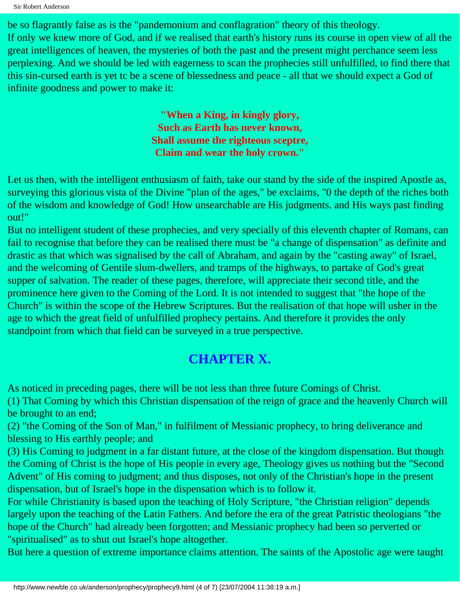Sir Robert Anderson

be so flagrantly false as is the "pandemonium and conflagration" theory of this theology. If only we knew more of God, and if we realised that earth's history runs its course in open view of all the great intelligences of heaven, the mysteries of both the past and the present might perchance seem less perplexing. And we should be led with eagerness to scan the prophecies still unfulfilled, to find there that this sin-cursed earth is yet tc be a scene of blessedness and peace - all that we should expect a God of infinite goodness and power to make it:

> **"When a King, in kingly glory, Such as Earth has never known, Shall assume the righteous sceptre, Claim and wear the holy crown."**

Let us then, with the intelligent enthusiasm of faith, take our stand by the side of the inspired Apostle as, surveying this glorious vista of the Divine "plan of the ages," be exclaims, "0 the depth of the riches both of the wisdom and knowledge of God! How unsearchable are His judgments. and His ways past finding out!"

But no intelligent student of these prophecies, and very specially of this eleventh chapter of Romans, can fail to recognise that before they can be realised there must be "a change of dispensation" as definite and drastic as that which was signalised by the call of Abraham, and again by the "casting away" of Israel, and the welcoming of Gentile slum-dwellers, and tramps of the highways, to partake of God's great supper of salvation. The reader of these pages, therefore, will appreciate their second title, and the prominence here given to the Coming of the Lord. It is not intended to suggest that "the hope of the Church" is within the scope of the Hebrew Scriptures. But the realisation of that hope will usher in the age to which the great field of unfulfilled prophecy pertains. And therefore it provides the only standpoint from which that field can be surveyed in a true perspective.

### **CHAPTER X.**

As noticed in preceding pages, there will be not less than three future Comings of Christ.

(1) That Coming by which this Christian dispensation of the reign of grace and the heavenly Church will be brought to an end;

(2) "the Coming of the Son of Man," in fulfilment of Messianic prophecy, to bring deliverance and blessing to His earthly people; and

(3) His Coming to judgment in a far distant future, at the close of the kingdom dispensation. But though the Coming of Christ is the hope of His people in every age, Theology gives us nothing but the "Second Advent" of His coming to judgment; and thus disposes, not only of the Christian's hope in the present dispensation, but of Israel's hope in the dispensation which is to follow it.

For while Christianity is based upon the teaching of Holy Scripture, "the Christian religion" depends largely upon the teaching of the Latin Fathers. And before the era of the great Patristic theologians "the hope of the Church" had already been forgotten; and Messianic prophecy had been so perverted or "spiritualised" as to shut out Israel's hope altogether.

But here a question of extreme importance claims attention. The saints of the Apostolic age were taught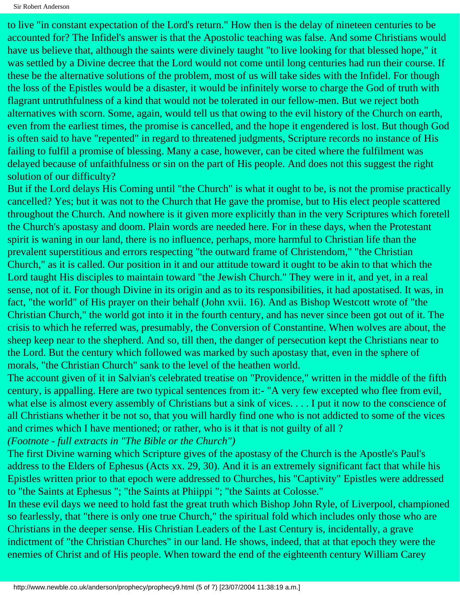to live "in constant expectation of the Lord's return." How then is the delay of nineteen centuries to be accounted for? The Infidel's answer is that the Apostolic teaching was false. And some Christians would have us believe that, although the saints were divinely taught "to live looking for that blessed hope," it was settled by a Divine decree that the Lord would not come until long centuries had run their course. If these be the alternative solutions of the problem, most of us will take sides with the Infidel. For though the loss of the Epistles would be a disaster, it would be infinitely worse to charge the God of truth with flagrant untruthfulness of a kind that would not be tolerated in our fellow-men. But we reject both alternatives with scorn. Some, again, would tell us that owing to the evil history of the Church on earth, even from the earliest times, the promise is cancelled, and the hope it engendered is lost. But though God is often said to have "repented" in regard to threatened judgments, Scripture records no instance of His failing to fulfil a promise of blessing. Many a case, however, can be cited where the fulfilment was delayed because of unfaithfulness or sin on the part of His people. And does not this suggest the right solution of our difficulty?

But if the Lord delays His Coming until "the Church" is what it ought to be, is not the promise practically cancelled? Yes; but it was not to the Church that He gave the promise, but to His elect people scattered throughout the Church. And nowhere is it given more explicitly than in the very Scriptures which foretell the Church's apostasy and doom. Plain words are needed here. For in these days, when the Protestant spirit is waning in our land, there is no influence, perhaps, more harmful to Christian life than the prevalent superstitious and errors respecting "the outward frame of Christendom," "the Christian Church," as it is called. Our position in it and our attitude toward it ought to be akin to that which the Lord taught His disciples to maintain toward "the Jewish Church." They were in it, and yet, in a real sense, not of it. For though Divine in its origin and as to its responsibilities, it had apostatised. It was, in fact, "the world" of His prayer on their behalf (John xvii. 16). And as Bishop Westcott wrote of "the Christian Church," the world got into it in the fourth century, and has never since been got out of it. The crisis to which he referred was, presumably, the Conversion of Constantine. When wolves are about, the sheep keep near to the shepherd. And so, till then, the danger of persecution kept the Christians near to the Lord. But the century which followed was marked by such apostasy that, even in the sphere of morals, "the Christian Church" sank to the level of the heathen world.

The account given of it in Salvian's celebrated treatise on "Providence," written in the middle of the fifth century, is appalling. Here are two typical sentences from it:- "A very few excepted who flee from evil, what else is almost every assembly of Christians but a sink of vices. . . . I put it now to the conscience of all Christians whether it be not so, that you will hardly find one who is not addicted to some of the vices and crimes which I have mentioned; or rather, who is it that is not guilty of all ?

*(Footnote - full extracts in "The Bible or the Church")*

The first Divine warning which Scripture gives of the apostasy of the Church is the Apostle's Paul's address to the Elders of Ephesus (Acts xx. 29, 30). And it is an extremely significant fact that while his Epistles written prior to that epoch were addressed to Churches, his "Captivity" Epistles were addressed to "the Saints at Ephesus "; "the Saints at Phiippi "; "the Saints at Colosse."

In these evil days we need to hold fast the great truth which Bishop John Ryle, of Liverpool, championed so fearlessly, that "there is only one true Church," the spiritual fold which includes only those who are Christians in the deeper sense. His Christian Leaders of the Last Century is, incidentally, a grave indictment of "the Christian Churches" in our land. He shows, indeed, that at that epoch they were the enemies of Christ and of His people. When toward the end of the eighteenth century William Carey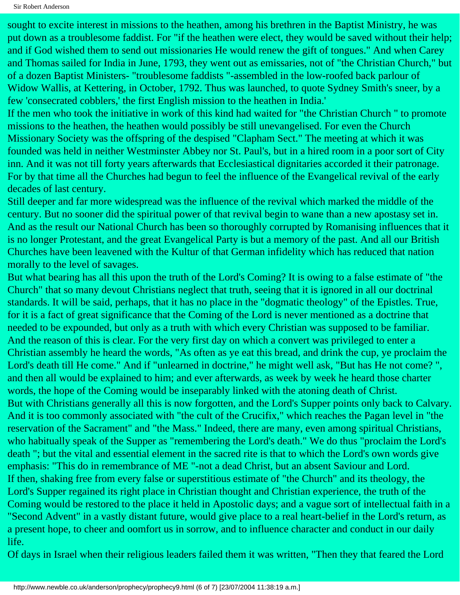sought to excite interest in missions to the heathen, among his brethren in the Baptist Ministry, he was put down as a troublesome faddist. For "if the heathen were elect, they would be saved without their help; and if God wished them to send out missionaries He would renew the gift of tongues." And when Carey and Thomas sailed for India in June, 1793, they went out as emissaries, not of "the Christian Church," but of a dozen Baptist Ministers- "troublesome faddists "-assembled in the low-roofed back parlour of Widow Wallis, at Kettering, in October, 1792. Thus was launched, to quote Sydney Smith's sneer, by a few 'consecrated cobblers,' the first English mission to the heathen in India.'

If the men who took the initiative in work of this kind had waited for "the Christian Church " to promote missions to the heathen, the heathen would possibly be still unevangelised. For even the Church Missionary Society was the offspring of the despised "Clapham Sect." The meeting at which it was founded was held in neither Westminster Abbey nor St. Paul's, but in a hired room in a poor sort of City inn. And it was not till forty years afterwards that Ecclesiastical dignitaries accorded it their patronage. For by that time all the Churches had begun to feel the influence of the Evangelical revival of the early decades of last century.

Still deeper and far more widespread was the influence of the revival which marked the middle of the century. But no sooner did the spiritual power of that revival begin to wane than a new apostasy set in. And as the result our National Church has been so thoroughly corrupted by Romanising influences that it is no longer Protestant, and the great Evangelical Party is but a memory of the past. And all our British Churches have been leavened with the Kultur of that German infidelity which has reduced that nation morally to the level of savages.

But what bearing has all this upon the truth of the Lord's Coming? It is owing to a false estimate of "the Church" that so many devout Christians neglect that truth, seeing that it is ignored in all our doctrinal standards. It will be said, perhaps, that it has no place in the "dogmatic theology" of the Epistles. True, for it is a fact of great significance that the Coming of the Lord is never mentioned as a doctrine that needed to be expounded, but only as a truth with which every Christian was supposed to be familiar. And the reason of this is clear. For the very first day on which a convert was privileged to enter a Christian assembly he heard the words, "As often as ye eat this bread, and drink the cup, ye proclaim the Lord's death till He come." And if "unlearned in doctrine," he might well ask, "But has He not come? ", and then all would be explained to him; and ever afterwards, as week by week he heard those charter words, the hope of the Coming would be inseparably linked with the atoning death of Christ. But with Christians generally all this is now forgotten, and the Lord's Supper points only back to Calvary. And it is too commonly associated with "the cult of the Crucifix," which reaches the Pagan level in "the reservation of the Sacrament" and "the Mass." Indeed, there are many, even among spiritual Christians, who habitually speak of the Supper as "remembering the Lord's death." We do thus "proclaim the Lord's death "; but the vital and essential element in the sacred rite is that to which the Lord's own words give emphasis: "This do in remembrance of ME "-not a dead Christ, but an absent Saviour and Lord. If then, shaking free from every false or superstitious estimate of "the Church" and its theology, the Lord's Supper regained its right place in Christian thought and Christian experience, the truth of the Coming would be restored to the place it held in Apostolic days; and a vague sort of intellectual faith in a "Second Advent" in a vastly distant future, would give place to a real heart-belief in the Lord's return, as a present hope, to cheer and oomfort us in sorrow, and to influence character and conduct in our daily life.

Of days in Israel when their religious leaders failed them it was written, "Then they that feared the Lord